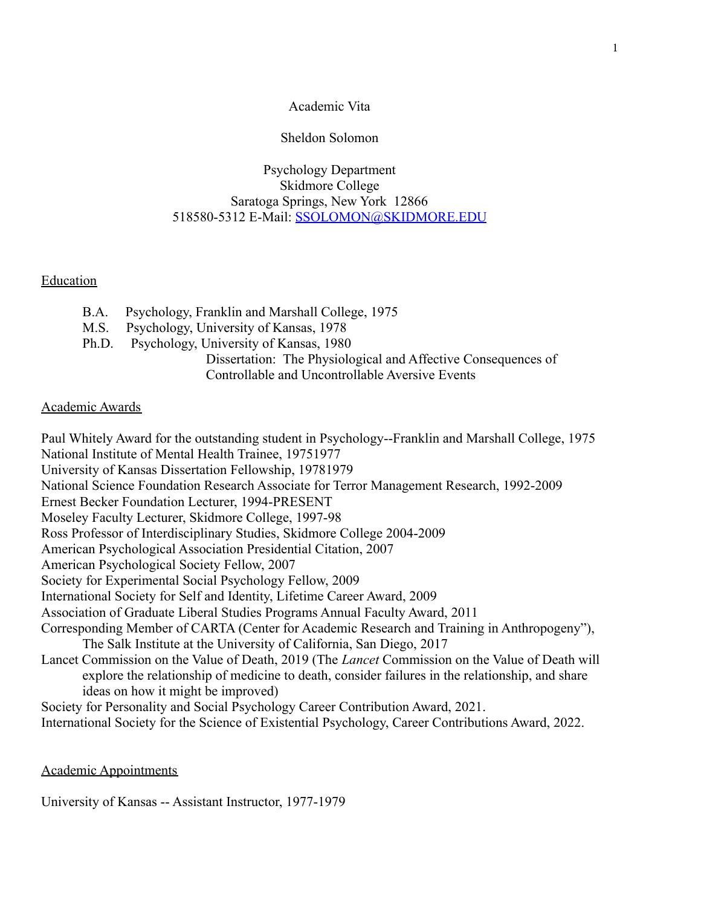## Academic Vita

## Sheldon Solomon

# Psychology Department Skidmore College Saratoga Springs, New York 12866 518580-5312 E-Mail: [SSOLOMON@SKIDMORE.EDU](mailto:SSOLOMON@SKIDMORE.EDU)

# Education

- B.A. Psychology, Franklin and Marshall College, 1975
- M.S. Psychology, University of Kansas, 1978
- Ph.D. Psychology, University of Kansas, 1980

Dissertation: The Physiological and Affective Consequences of Controllable and Uncontrollable Aversive Events

## Academic Awards

Paul Whitely Award for the outstanding student in Psychology--Franklin and Marshall College, 1975 National Institute of Mental Health Trainee, 19751977 University of Kansas Dissertation Fellowship, 19781979 National Science Foundation Research Associate for Terror Management Research, 1992-2009 Ernest Becker Foundation Lecturer, 1994-PRESENT Moseley Faculty Lecturer, Skidmore College, 1997-98 Ross Professor of Interdisciplinary Studies, Skidmore College 2004-2009 American Psychological Association Presidential Citation, 2007 American Psychological Society Fellow, 2007 Society for Experimental Social Psychology Fellow, 2009 International Society for Self and Identity, Lifetime Career Award, 2009 Association of Graduate Liberal Studies Programs Annual Faculty Award, 2011 Corresponding Member of CARTA (Center for Academic Research and Training in Anthropogeny"), The Salk Institute at the University of California, San Diego, 2017 Lancet Commission on the Value of Death, 2019 (The *Lancet* Commission on the Value of Death will explore the relationship of medicine to death, consider failures in the relationship, and share ideas on how it might be improved) Society for Personality and Social Psychology Career Contribution Award, 2021. International Society for the Science of Existential Psychology, Career Contributions Award, 2022.

Academic Appointments

University of Kansas -- Assistant Instructor, 1977-1979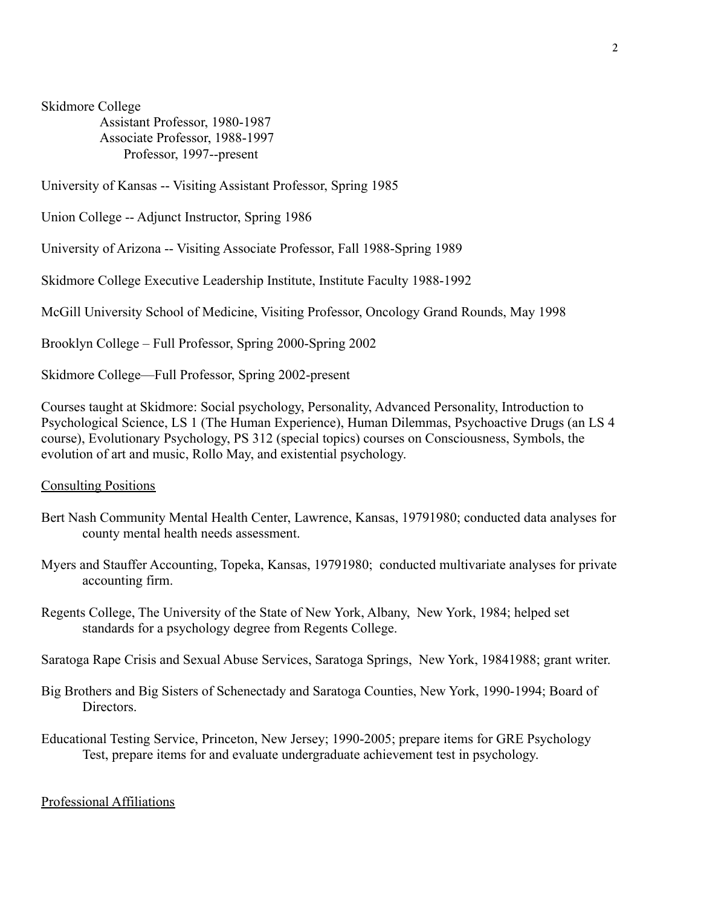Skidmore College

Assistant Professor, 1980-1987 Associate Professor, 1988-1997 Professor, 1997--present

University of Kansas -- Visiting Assistant Professor, Spring 1985

Union College -- Adjunct Instructor, Spring 1986

University of Arizona -- Visiting Associate Professor, Fall 1988-Spring 1989

Skidmore College Executive Leadership Institute, Institute Faculty 1988-1992

McGill University School of Medicine, Visiting Professor, Oncology Grand Rounds, May 1998

Brooklyn College – Full Professor, Spring 2000-Spring 2002

Skidmore College—Full Professor, Spring 2002-present

Courses taught at Skidmore: Social psychology, Personality, Advanced Personality, Introduction to Psychological Science, LS 1 (The Human Experience), Human Dilemmas, Psychoactive Drugs (an LS 4 course), Evolutionary Psychology, PS 312 (special topics) courses on Consciousness, Symbols, the evolution of art and music, Rollo May, and existential psychology.

#### Consulting Positions

- Bert Nash Community Mental Health Center, Lawrence, Kansas, 19791980; conducted data analyses for county mental health needs assessment.
- Myers and Stauffer Accounting, Topeka, Kansas, 19791980; conducted multivariate analyses for private accounting firm.
- Regents College, The University of the State of New York, Albany, New York, 1984; helped set standards for a psychology degree from Regents College.

Saratoga Rape Crisis and Sexual Abuse Services, Saratoga Springs, New York, 19841988; grant writer.

- Big Brothers and Big Sisters of Schenectady and Saratoga Counties, New York, 1990-1994; Board of Directors.
- Educational Testing Service, Princeton, New Jersey; 1990-2005; prepare items for GRE Psychology Test, prepare items for and evaluate undergraduate achievement test in psychology.

### Professional Affiliations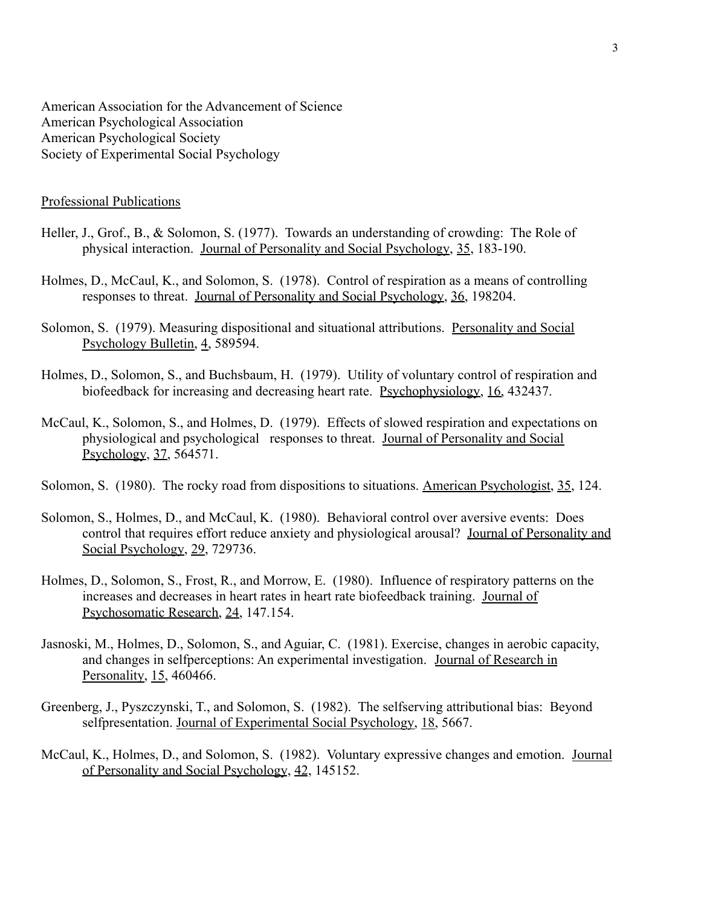American Association for the Advancement of Science American Psychological Association American Psychological Society Society of Experimental Social Psychology

### Professional Publications

- Heller, J., Grof., B., & Solomon, S. (1977). Towards an understanding of crowding: The Role of physical interaction. Journal of Personality and Social Psychology, 35, 183-190.
- Holmes, D., McCaul, K., and Solomon, S. (1978). Control of respiration as a means of controlling responses to threat. Journal of Personality and Social Psychology, 36, 198204.
- Solomon, S. (1979). Measuring dispositional and situational attributions. Personality and Social Psychology Bulletin, 4, 589594.
- Holmes, D., Solomon, S., and Buchsbaum, H. (1979). Utility of voluntary control of respiration and biofeedback for increasing and decreasing heart rate. Psychophysiology, 16, 432437.
- McCaul, K., Solomon, S., and Holmes, D. (1979). Effects of slowed respiration and expectations on physiological and psychological responses to threat. Journal of Personality and Social Psychology, 37, 564571.
- Solomon, S. (1980). The rocky road from dispositions to situations. American Psychologist, 35, 124.
- Solomon, S., Holmes, D., and McCaul, K. (1980). Behavioral control over aversive events: Does control that requires effort reduce anxiety and physiological arousal? Journal of Personality and Social Psychology, 29, 729736.
- Holmes, D., Solomon, S., Frost, R., and Morrow, E. (1980). Influence of respiratory patterns on the increases and decreases in heart rates in heart rate biofeedback training. Journal of Psychosomatic Research, 24, 147.154.
- Jasnoski, M., Holmes, D., Solomon, S., and Aguiar, C. (1981). Exercise, changes in aerobic capacity, and changes in selfperceptions: An experimental investigation. Journal of Research in Personality, 15, 460466.
- Greenberg, J., Pyszczynski, T., and Solomon, S. (1982). The selfserving attributional bias: Beyond selfpresentation. Journal of Experimental Social Psychology, 18, 5667.
- McCaul, K., Holmes, D., and Solomon, S. (1982). Voluntary expressive changes and emotion. Journal of Personality and Social Psychology, 42, 145152.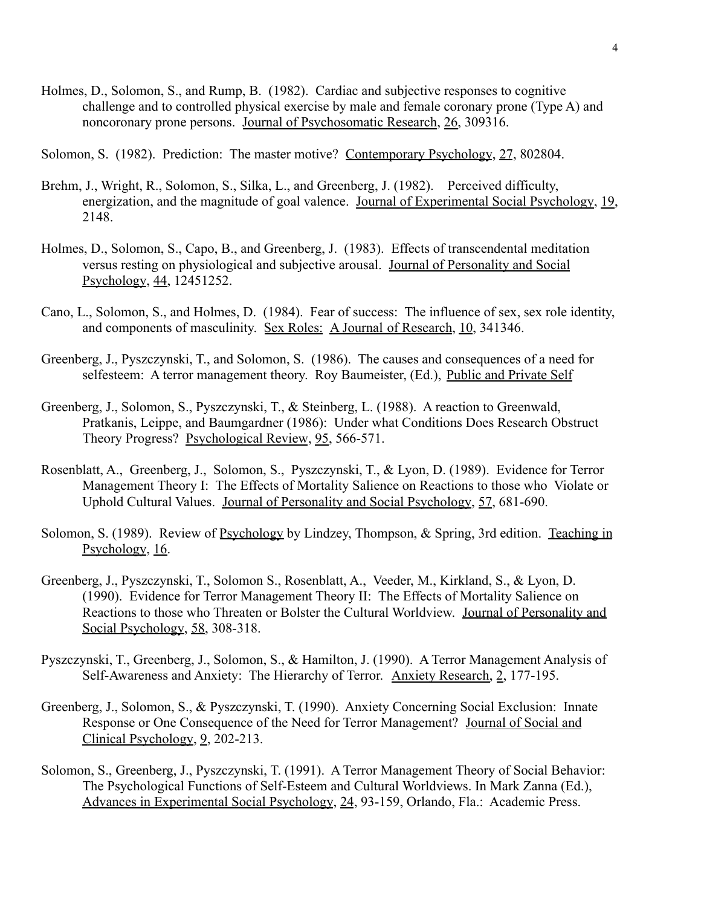Holmes, D., Solomon, S., and Rump, B. (1982). Cardiac and subjective responses to cognitive challenge and to controlled physical exercise by male and female coronary prone (Type A) and noncoronary prone persons. Journal of Psychosomatic Research, 26, 309316.

Solomon, S. (1982). Prediction: The master motive? Contemporary Psychology, 27, 802804.

- Brehm, J., Wright, R., Solomon, S., Silka, L., and Greenberg, J. (1982). Perceived difficulty, energization, and the magnitude of goal valence. Journal of Experimental Social Psychology, 19, 2148.
- Holmes, D., Solomon, S., Capo, B., and Greenberg, J. (1983). Effects of transcendental meditation versus resting on physiological and subjective arousal. Journal of Personality and Social Psychology, 44, 12451252.
- Cano, L., Solomon, S., and Holmes, D. (1984). Fear of success: The influence of sex, sex role identity, and components of masculinity. Sex Roles: A Journal of Research, 10, 341346.
- Greenberg, J., Pyszczynski, T., and Solomon, S. (1986). The causes and consequences of a need for selfesteem: A terror management theory. Roy Baumeister, (Ed.), Public and Private Self
- Greenberg, J., Solomon, S., Pyszczynski, T., & Steinberg, L. (1988). A reaction to Greenwald, Pratkanis, Leippe, and Baumgardner (1986): Under what Conditions Does Research Obstruct Theory Progress? Psychological Review, 95, 566-571.
- Rosenblatt, A., Greenberg, J., Solomon, S., Pyszczynski, T., & Lyon, D. (1989). Evidence for Terror Management Theory I: The Effects of Mortality Salience on Reactions to those who Violate or Uphold Cultural Values. Journal of Personality and Social Psychology, 57, 681-690.
- Solomon, S. (1989). Review of Psychology by Lindzey, Thompson, & Spring, 3rd edition. Teaching in Psychology, 16.
- Greenberg, J., Pyszczynski, T., Solomon S., Rosenblatt, A., Veeder, M., Kirkland, S., & Lyon, D. (1990). Evidence for Terror Management Theory II: The Effects of Mortality Salience on Reactions to those who Threaten or Bolster the Cultural Worldview. Journal of Personality and Social Psychology, 58, 308-318.
- Pyszczynski, T., Greenberg, J., Solomon, S., & Hamilton, J. (1990). A Terror Management Analysis of Self-Awareness and Anxiety: The Hierarchy of Terror. Anxiety Research, 2, 177-195.
- Greenberg, J., Solomon, S., & Pyszczynski, T. (1990). Anxiety Concerning Social Exclusion: Innate Response or One Consequence of the Need for Terror Management? Journal of Social and Clinical Psychology, 9, 202-213.
- Solomon, S., Greenberg, J., Pyszczynski, T. (1991). A Terror Management Theory of Social Behavior: The Psychological Functions of Self-Esteem and Cultural Worldviews. In Mark Zanna (Ed.), Advances in Experimental Social Psychology, 24, 93-159, Orlando, Fla.: Academic Press.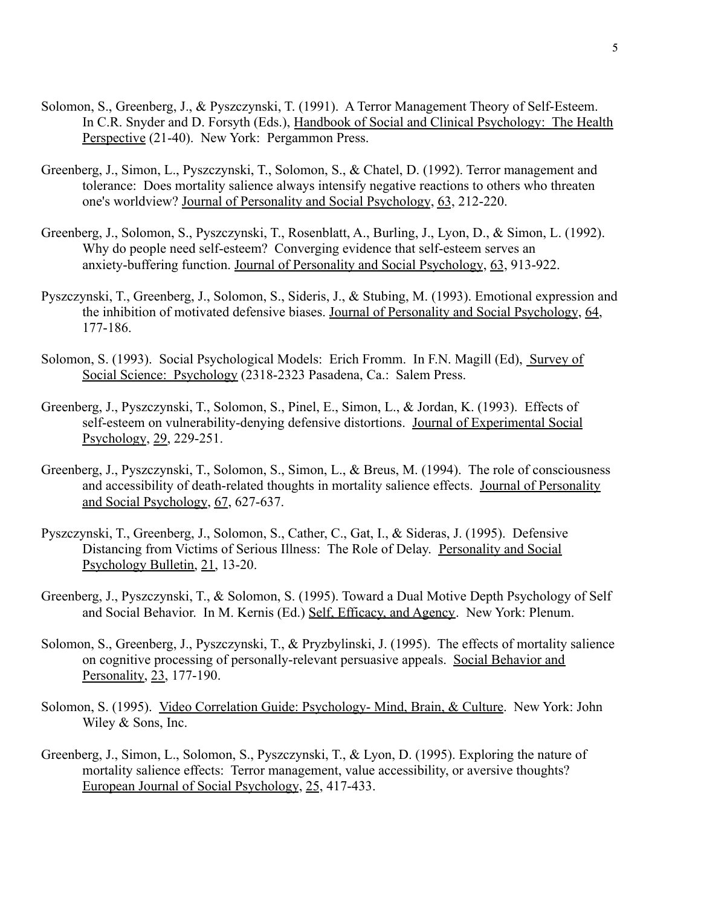- Solomon, S., Greenberg, J., & Pyszczynski, T. (1991). A Terror Management Theory of Self-Esteem. In C.R. Snyder and D. Forsyth (Eds.), Handbook of Social and Clinical Psychology: The Health Perspective (21-40). New York: Pergammon Press.
- Greenberg, J., Simon, L., Pyszczynski, T., Solomon, S., & Chatel, D. (1992). Terror management and tolerance: Does mortality salience always intensify negative reactions to others who threaten one's worldview? Journal of Personality and Social Psychology, 63, 212-220.
- Greenberg, J., Solomon, S., Pyszczynski, T., Rosenblatt, A., Burling, J., Lyon, D., & Simon, L. (1992). Why do people need self-esteem? Converging evidence that self-esteem serves an anxiety-buffering function. Journal of Personality and Social Psychology, 63, 913-922.
- Pyszczynski, T., Greenberg, J., Solomon, S., Sideris, J., & Stubing, M. (1993). Emotional expression and the inhibition of motivated defensive biases. Journal of Personality and Social Psychology, 64, 177-186.
- Solomon, S. (1993). Social Psychological Models: Erich Fromm. In F.N. Magill (Ed), Survey of Social Science: Psychology (2318-2323 Pasadena, Ca.: Salem Press.
- Greenberg, J., Pyszczynski, T., Solomon, S., Pinel, E., Simon, L., & Jordan, K. (1993). Effects of self-esteem on vulnerability-denying defensive distortions. Journal of Experimental Social Psychology, 29, 229-251.
- Greenberg, J., Pyszczynski, T., Solomon, S., Simon, L., & Breus, M. (1994). The role of consciousness and accessibility of death-related thoughts in mortality salience effects. Journal of Personality and Social Psychology, 67, 627-637.
- Pyszczynski, T., Greenberg, J., Solomon, S., Cather, C., Gat, I., & Sideras, J. (1995). Defensive Distancing from Victims of Serious Illness: The Role of Delay. Personality and Social Psychology Bulletin, 21, 13-20.
- Greenberg, J., Pyszczynski, T., & Solomon, S. (1995). Toward a Dual Motive Depth Psychology of Self and Social Behavior. In M. Kernis (Ed.) Self, Efficacy, and Agency. New York: Plenum.
- Solomon, S., Greenberg, J., Pyszczynski, T., & Pryzbylinski, J. (1995). The effects of mortality salience on cognitive processing of personally-relevant persuasive appeals. Social Behavior and Personality, 23, 177-190.
- Solomon, S. (1995). Video Correlation Guide: Psychology- Mind, Brain, & Culture. New York: John Wiley & Sons, Inc.
- Greenberg, J., Simon, L., Solomon, S., Pyszczynski, T., & Lyon, D. (1995). Exploring the nature of mortality salience effects: Terror management, value accessibility, or aversive thoughts? European Journal of Social Psychology, 25, 417-433.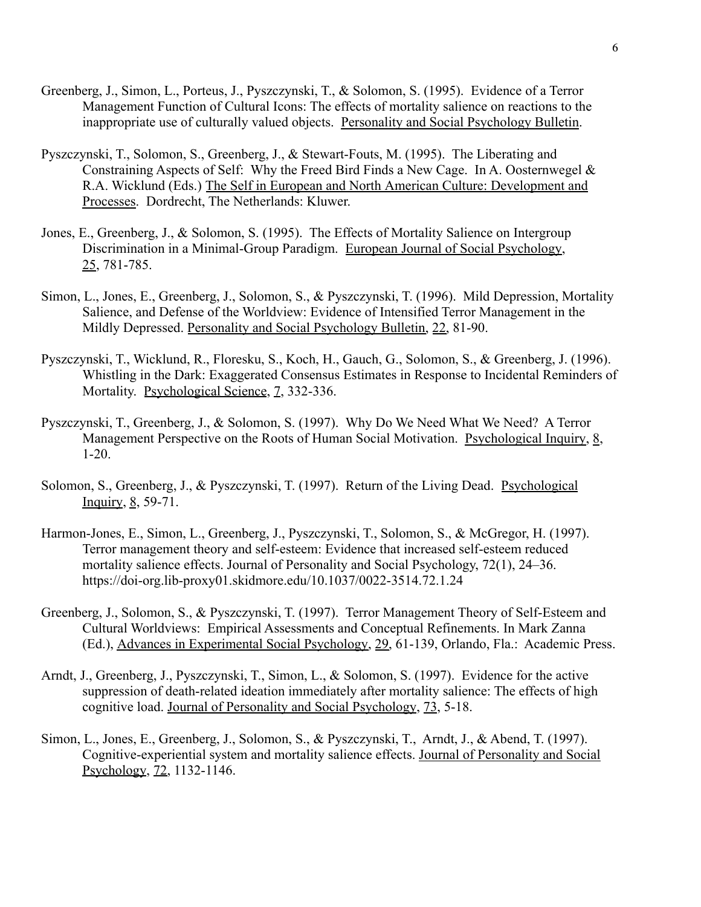- Greenberg, J., Simon, L., Porteus, J., Pyszczynski, T., & Solomon, S. (1995). Evidence of a Terror Management Function of Cultural Icons: The effects of mortality salience on reactions to the inappropriate use of culturally valued objects. Personality and Social Psychology Bulletin.
- Pyszczynski, T., Solomon, S., Greenberg, J., & Stewart-Fouts, M. (1995). The Liberating and Constraining Aspects of Self: Why the Freed Bird Finds a New Cage. In A. Oosternwegel & R.A. Wicklund (Eds.) The Self in European and North American Culture: Development and Processes. Dordrecht, The Netherlands: Kluwer.
- Jones, E., Greenberg, J., & Solomon, S. (1995). The Effects of Mortality Salience on Intergroup Discrimination in a Minimal-Group Paradigm. European Journal of Social Psychology, 25, 781-785.
- Simon, L., Jones, E., Greenberg, J., Solomon, S., & Pyszczynski, T. (1996). Mild Depression, Mortality Salience, and Defense of the Worldview: Evidence of Intensified Terror Management in the Mildly Depressed. Personality and Social Psychology Bulletin, 22, 81-90.
- Pyszczynski, T., Wicklund, R., Floresku, S., Koch, H., Gauch, G., Solomon, S., & Greenberg, J. (1996). Whistling in the Dark: Exaggerated Consensus Estimates in Response to Incidental Reminders of Mortality. Psychological Science, 7, 332-336.
- Pyszczynski, T., Greenberg, J., & Solomon, S. (1997). Why Do We Need What We Need? A Terror Management Perspective on the Roots of Human Social Motivation. Psychological Inquiry, 8, 1-20.
- Solomon, S., Greenberg, J., & Pyszczynski, T. (1997). Return of the Living Dead. Psychological Inquiry, 8, 59-71.
- Harmon-Jones, E., Simon, L., Greenberg, J., Pyszczynski, T., Solomon, S., & McGregor, H. (1997). Terror management theory and self-esteem: Evidence that increased self-esteem reduced mortality salience effects. Journal of Personality and Social Psychology, 72(1), 24–36. https://doi-org.lib-proxy01.skidmore.edu/10.1037/0022-3514.72.1.24
- Greenberg, J., Solomon, S., & Pyszczynski, T. (1997). Terror Management Theory of Self-Esteem and Cultural Worldviews: Empirical Assessments and Conceptual Refinements. In Mark Zanna (Ed.), Advances in Experimental Social Psychology, 29, 61-139, Orlando, Fla.: Academic Press.
- Arndt, J., Greenberg, J., Pyszczynski, T., Simon, L., & Solomon, S. (1997). Evidence for the active suppression of death-related ideation immediately after mortality salience: The effects of high cognitive load. Journal of Personality and Social Psychology, 73, 5-18.
- Simon, L., Jones, E., Greenberg, J., Solomon, S., & Pyszczynski, T., Arndt, J., & Abend, T. (1997). Cognitive-experiential system and mortality salience effects. Journal of Personality and Social Psychology, 72, 1132-1146.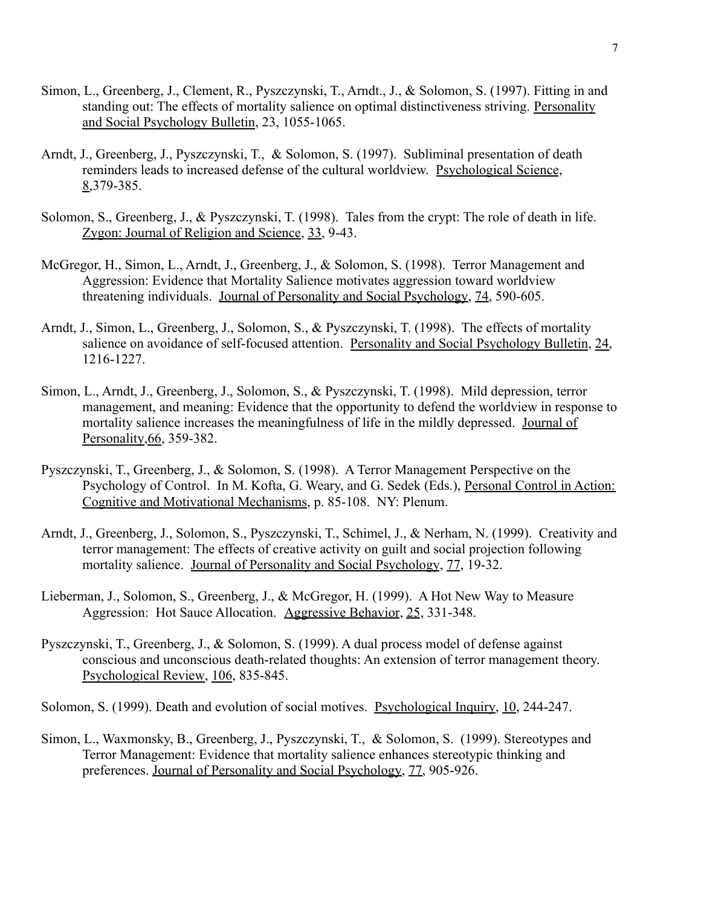- Simon, L., Greenberg, J., Clement, R., Pyszczynski, T., Arndt., J., & Solomon, S. (1997). Fitting in and standing out: The effects of mortality salience on optimal distinctiveness striving. Personality and Social Psychology Bulletin, 23, 1055-1065.
- Arndt, J., Greenberg, J., Pyszczynski, T., & Solomon, S. (1997). Subliminal presentation of death reminders leads to increased defense of the cultural worldview. Psychological Science, 8,379-385.
- Solomon, S., Greenberg, J., & Pyszczynski, T. (1998). Tales from the crypt: The role of death in life. Zygon: Journal of Religion and Science, 33, 9-43.
- McGregor, H., Simon, L., Arndt, J., Greenberg, J., & Solomon, S. (1998). Terror Management and Aggression: Evidence that Mortality Salience motivates aggression toward worldview threatening individuals. Journal of Personality and Social Psychology, 74, 590-605.
- Arndt, J., Simon, L., Greenberg, J., Solomon, S., & Pyszczynski, T. (1998). The effects of mortality salience on avoidance of self-focused attention. Personality and Social Psychology Bulletin, 24, 1216-1227.
- Simon, L., Arndt, J., Greenberg, J., Solomon, S., & Pyszczynski, T. (1998). Mild depression, terror management, and meaning: Evidence that the opportunity to defend the worldview in response to mortality salience increases the meaningfulness of life in the mildly depressed. Journal of Personality,66, 359-382.
- Pyszczynski, T., Greenberg, J., & Solomon, S. (1998). A Terror Management Perspective on the Psychology of Control. In M. Kofta, G. Weary, and G. Sedek (Eds.), Personal Control in Action: Cognitive and Motivational Mechanisms, p. 85-108. NY: Plenum.
- Arndt, J., Greenberg, J., Solomon, S., Pyszczynski, T., Schimel, J., & Nerham, N. (1999). Creativity and terror management: The effects of creative activity on guilt and social projection following mortality salience. Journal of Personality and Social Psychology, 77, 19-32.
- Lieberman, J., Solomon, S., Greenberg, J., & McGregor, H. (1999). A Hot New Way to Measure Aggression: Hot Sauce Allocation. Aggressive Behavior, 25, 331-348.
- Pyszczynski, T., Greenberg, J., & Solomon, S. (1999). A dual process model of defense against conscious and unconscious death-related thoughts: An extension of terror management theory. Psychological Review, 106, 835-845.

Solomon, S. (1999). Death and evolution of social motives. Psychological Inquiry, 10, 244-247.

Simon, L., Waxmonsky, B., Greenberg, J., Pyszczynski, T., & Solomon, S. (1999). Stereotypes and Terror Management: Evidence that mortality salience enhances stereotypic thinking and preferences. Journal of Personality and Social Psychology, 77, 905-926.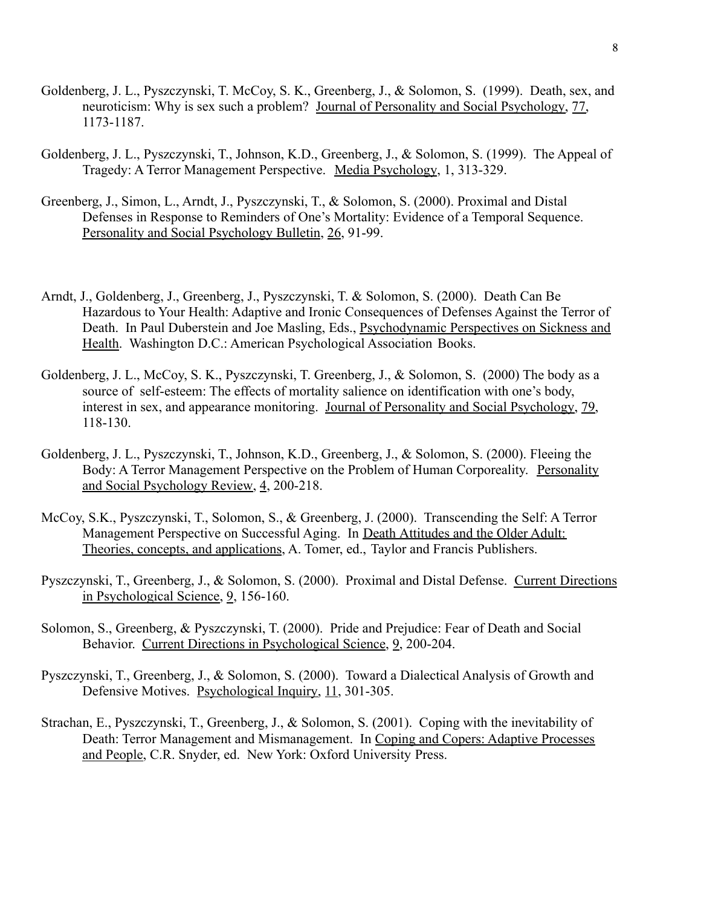- Goldenberg, J. L., Pyszczynski, T. McCoy, S. K., Greenberg, J., & Solomon, S. (1999). Death, sex, and neuroticism: Why is sex such a problem? Journal of Personality and Social Psychology, 77, 1173-1187.
- Goldenberg, J. L., Pyszczynski, T., Johnson, K.D., Greenberg, J., & Solomon, S. (1999). The Appeal of Tragedy: A Terror Management Perspective. Media Psychology, 1, 313-329.
- Greenberg, J., Simon, L., Arndt, J., Pyszczynski, T., & Solomon, S. (2000). Proximal and Distal Defenses in Response to Reminders of One's Mortality: Evidence of a Temporal Sequence. Personality and Social Psychology Bulletin, 26, 91-99.
- Arndt, J., Goldenberg, J., Greenberg, J., Pyszczynski, T. & Solomon, S. (2000). Death Can Be Hazardous to Your Health: Adaptive and Ironic Consequences of Defenses Against the Terror of Death. In Paul Duberstein and Joe Masling, Eds., Psychodynamic Perspectives on Sickness and Health. Washington D.C.: American Psychological Association Books.
- Goldenberg, J. L., McCoy, S. K., Pyszczynski, T. Greenberg, J., & Solomon, S. (2000) The body as a source of self-esteem: The effects of mortality salience on identification with one's body, interest in sex, and appearance monitoring. Journal of Personality and Social Psychology, 79, 118-130.
- Goldenberg, J. L., Pyszczynski, T., Johnson, K.D., Greenberg, J., & Solomon, S. (2000). Fleeing the Body: A Terror Management Perspective on the Problem of Human Corporeality. Personality and Social Psychology Review, 4, 200-218.
- McCoy, S.K., Pyszczynski, T., Solomon, S., & Greenberg, J. (2000). Transcending the Self: A Terror Management Perspective on Successful Aging. In Death Attitudes and the Older Adult: Theories, concepts, and applications, A. Tomer, ed., Taylor and Francis Publishers.
- Pyszczynski, T., Greenberg, J., & Solomon, S. (2000). Proximal and Distal Defense. Current Directions in Psychological Science, 9, 156-160.
- Solomon, S., Greenberg, & Pyszczynski, T. (2000). Pride and Prejudice: Fear of Death and Social Behavior. Current Directions in Psychological Science, 9, 200-204.
- Pyszczynski, T., Greenberg, J., & Solomon, S. (2000). Toward a Dialectical Analysis of Growth and Defensive Motives. Psychological Inquiry, 11, 301-305.
- Strachan, E., Pyszczynski, T., Greenberg, J., & Solomon, S. (2001). Coping with the inevitability of Death: Terror Management and Mismanagement. In Coping and Copers: Adaptive Processes and People, C.R. Snyder, ed. New York: Oxford University Press.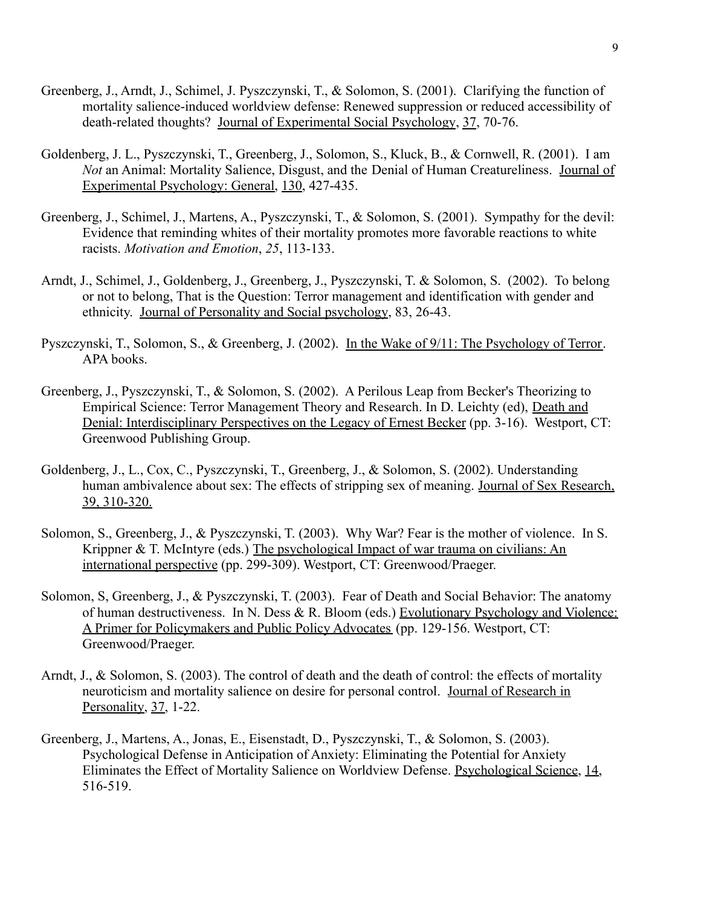- Greenberg, J., Arndt, J., Schimel, J. Pyszczynski, T., & Solomon, S. (2001). Clarifying the function of mortality salience-induced worldview defense: Renewed suppression or reduced accessibility of death-related thoughts? Journal of Experimental Social Psychology, 37, 70-76.
- Goldenberg, J. L., Pyszczynski, T., Greenberg, J., Solomon, S., Kluck, B., & Cornwell, R. (2001). I am *Not* an Animal: Mortality Salience, Disgust, and the Denial of Human Creatureliness. Journal of Experimental Psychology: General, 130, 427-435.
- Greenberg, J., Schimel, J., Martens, A., Pyszczynski, T., & Solomon, S. (2001). Sympathy for the devil: Evidence that reminding whites of their mortality promotes more favorable reactions to white racists. *Motivation and Emotion*, *25*, 113-133.
- Arndt, J., Schimel, J., Goldenberg, J., Greenberg, J., Pyszczynski, T. & Solomon, S. (2002). To belong or not to belong, That is the Question: Terror management and identification with gender and ethnicity. Journal of Personality and Social psychology, 83, 26-43.
- Pyszczynski, T., Solomon, S., & Greenberg, J. (2002). In the Wake of 9/11: The Psychology of Terror. APA books.
- Greenberg, J., Pyszczynski, T., & Solomon, S. (2002). A Perilous Leap from Becker's Theorizing to Empirical Science: Terror Management Theory and Research. In D. Leichty (ed), Death and Denial: Interdisciplinary Perspectives on the Legacy of Ernest Becker (pp. 3-16). Westport, CT: Greenwood Publishing Group.
- Goldenberg, J., L., Cox, C., Pyszczynski, T., Greenberg, J., & Solomon, S. (2002). Understanding human ambivalence about sex: The effects of stripping sex of meaning. Journal of Sex Research, 39, 310-320.
- Solomon, S., Greenberg, J., & Pyszczynski, T. (2003). Why War? Fear is the mother of violence. In S. Krippner & T. McIntyre (eds.) The psychological Impact of war trauma on civilians: An international perspective (pp. 299-309). Westport, CT: Greenwood/Praeger.
- Solomon, S, Greenberg, J., & Pyszczynski, T. (2003). Fear of Death and Social Behavior: The anatomy of human destructiveness. In N. Dess & R. Bloom (eds.) Evolutionary Psychology and Violence: A Primer for Policymakers and Public Policy Advocates (pp. 129-156. Westport, CT: Greenwood/Praeger.
- Arndt, J., & Solomon, S. (2003). The control of death and the death of control: the effects of mortality neuroticism and mortality salience on desire for personal control. Journal of Research in Personality, 37, 1-22.
- Greenberg, J., Martens, A., Jonas, E., Eisenstadt, D., Pyszczynski, T., & Solomon, S. (2003). Psychological Defense in Anticipation of Anxiety: Eliminating the Potential for Anxiety Eliminates the Effect of Mortality Salience on Worldview Defense. Psychological Science, 14, 516-519.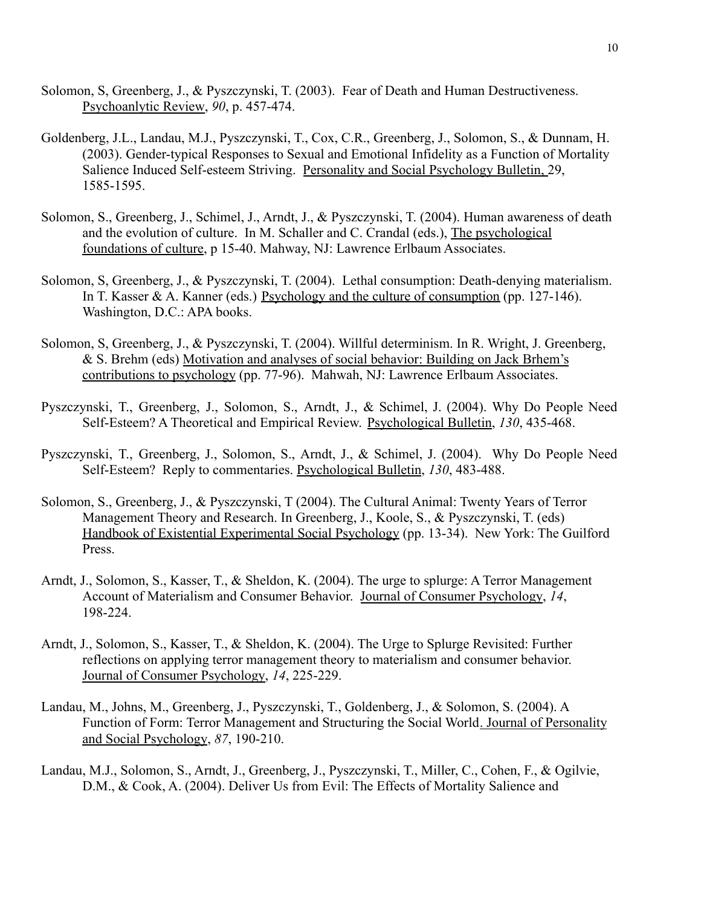- Solomon, S, Greenberg, J., & Pyszczynski, T. (2003). Fear of Death and Human Destructiveness. Psychoanlytic Review, *90*, p. 457-474.
- Goldenberg, J.L., Landau, M.J., Pyszczynski, T., Cox, C.R., Greenberg, J., Solomon, S., & Dunnam, H. (2003). Gender-typical Responses to Sexual and Emotional Infidelity as a Function of Mortality Salience Induced Self-esteem Striving. Personality and Social Psychology Bulletin, 29, 1585-1595.
- Solomon, S., Greenberg, J., Schimel, J., Arndt, J., & Pyszczynski, T. (2004). Human awareness of death and the evolution of culture. In M. Schaller and C. Crandal (eds.), The psychological foundations of culture, p 15-40. Mahway, NJ: Lawrence Erlbaum Associates.
- Solomon, S, Greenberg, J., & Pyszczynski, T. (2004). Lethal consumption: Death-denying materialism. In T. Kasser & A. Kanner (eds.) Psychology and the culture of consumption (pp. 127-146). Washington, D.C.: APA books.
- Solomon, S, Greenberg, J., & Pyszczynski, T. (2004). Willful determinism. In R. Wright, J. Greenberg, & S. Brehm (eds) Motivation and analyses of social behavior: Building on Jack Brhem's contributions to psychology (pp. 77-96). Mahwah, NJ: Lawrence Erlbaum Associates.
- Pyszczynski, T., Greenberg, J., Solomon, S., Arndt, J., & Schimel, J. (2004). Why Do People Need Self-Esteem? A Theoretical and Empirical Review. Psychological Bulletin, *130*, 435-468.
- Pyszczynski, T., Greenberg, J., Solomon, S., Arndt, J., & Schimel, J. (2004). Why Do People Need Self-Esteem? Reply to commentaries. Psychological Bulletin, *130*, 483-488.
- Solomon, S., Greenberg, J., & Pyszczynski, T (2004). The Cultural Animal: Twenty Years of Terror Management Theory and Research. In Greenberg, J., Koole, S., & Pyszczynski, T. (eds) Handbook of Existential Experimental Social Psychology (pp. 13-34). New York: The Guilford Press.
- Arndt, J., Solomon, S., Kasser, T., & Sheldon, K. (2004). The urge to splurge: A Terror Management Account of Materialism and Consumer Behavior. Journal of Consumer Psychology, *14*, 198-224.
- Arndt, J., Solomon, S., Kasser, T., & Sheldon, K. (2004). The Urge to Splurge Revisited: Further reflections on applying terror management theory to materialism and consumer behavior. Journal of Consumer Psychology, *14*, 225-229.
- Landau, M., Johns, M., Greenberg, J., Pyszczynski, T., Goldenberg, J., & Solomon, S. (2004). A Function of Form: Terror Management and Structuring the Social World. Journal of Personality and Social Psychology, *87*, 190-210.
- Landau, M.J., Solomon, S., Arndt, J., Greenberg, J., Pyszczynski, T., Miller, C., Cohen, F., & Ogilvie, D.M., & Cook, A. (2004). Deliver Us from Evil: The Effects of Mortality Salience and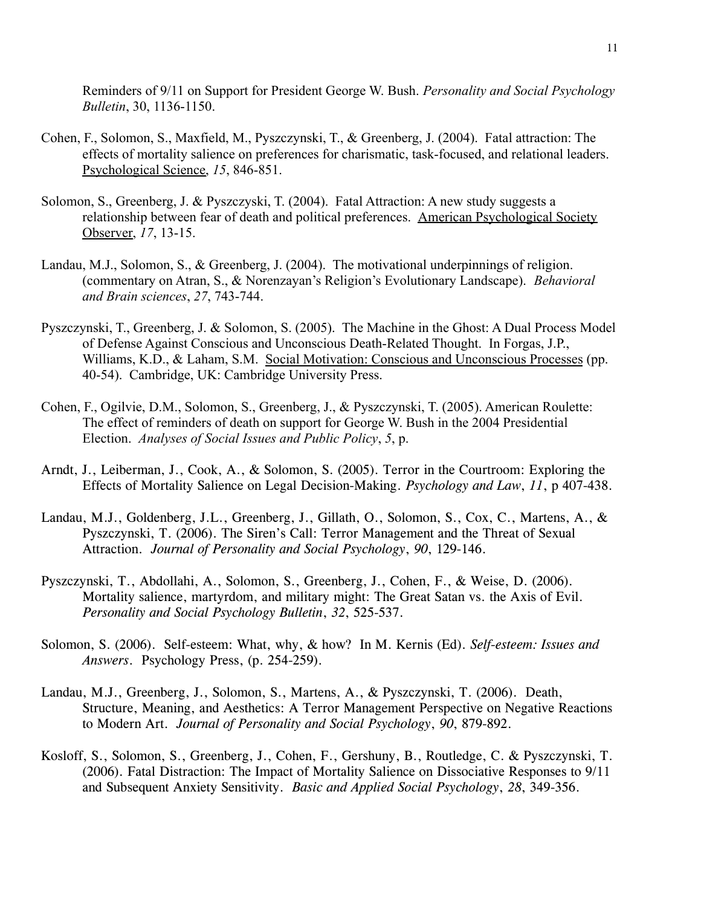Reminders of 9/11 on Support for President George W. Bush. *Personality and Social Psychology Bulletin*, 30, 1136-1150.

- Cohen, F., Solomon, S., Maxfield, M., Pyszczynski, T., & Greenberg, J. (2004). Fatal attraction: The effects of mortality salience on preferences for charismatic, task-focused, and relational leaders. Psychological Science, *15*, 846-851.
- Solomon, S., Greenberg, J. & Pyszczyski, T. (2004). Fatal Attraction: A new study suggests a relationship between fear of death and political preferences. American Psychological Society Observer, *17*, 13-15.
- Landau, M.J., Solomon, S., & Greenberg, J. (2004). The motivational underpinnings of religion. (commentary on Atran, S., & Norenzayan's Religion's Evolutionary Landscape). *Behavioral and Brain sciences*, *27*, 743-744.
- Pyszczynski, T., Greenberg, J. & Solomon, S. (2005). The Machine in the Ghost: A Dual Process Model of Defense Against Conscious and Unconscious Death-Related Thought. In Forgas, J.P., Williams, K.D., & Laham, S.M. Social Motivation: Conscious and Unconscious Processes (pp. 40-54). Cambridge, UK: Cambridge University Press.
- Cohen, F., Ogilvie, D.M., Solomon, S., Greenberg, J., & Pyszczynski, T. (2005). American Roulette: The effect of reminders of death on support for George W. Bush in the 2004 Presidential Election. *Analyses of Social Issues and Public Policy*, *5*, p.
- Arndt, J., Leiberman, J., Cook, A., & Solomon, S. (2005). Terror in the Courtroom: Exploring the Effects of Mortality Salience on Legal Decision-Making. *Psychology and Law*, *11*, p 407-438.
- Landau, M.J., Goldenberg, J.L., Greenberg, J., Gillath, O., Solomon, S., Cox, C., Martens, A., & Pyszczynski, T. (2006). The Siren's Call: Terror Management and the Threat of Sexual Attraction. *Journal of Personality and Social Psychology*, *90*, 129-146.
- Pyszczynski, T., Abdollahi, A., Solomon, S., Greenberg, J., Cohen, F., & Weise, D. (2006). Mortality salience, martyrdom, and military might: The Great Satan vs. the Axis of Evil. *Personality and Social Psychology Bulletin*, *32*, 525-537.
- Solomon, S. (2006). Self-esteem: What, why, & how? In M. Kernis (Ed). *Self-esteem: Issues and Answers*. Psychology Press, (p. 254-259).
- Landau, M.J., Greenberg, J., Solomon, S., Martens, A., & Pyszczynski, T. (2006). Death, Structure, Meaning, and Aesthetics: A Terror Management Perspective on Negative Reactions to Modern Art. *Journal of Personality and Social Psychology*, *90*, 879-892.
- Kosloff, S., Solomon, S., Greenberg, J., Cohen, F., Gershuny, B., Routledge, C. & Pyszczynski, T. (2006). Fatal Distraction: The Impact of Mortality Salience on Dissociative Responses to 9/11 and Subsequent Anxiety Sensitivity. *Basic and Applied Social Psychology*, *28*, 349-356.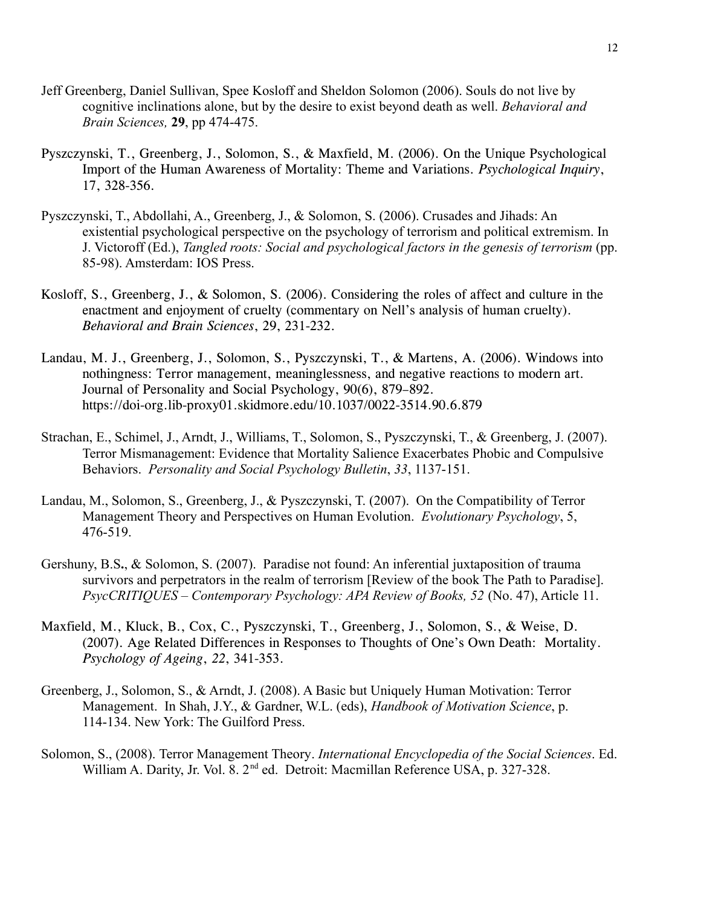- Jeff Greenberg, Daniel Sullivan, Spee Kosloff and Sheldon Solomon (2006). Souls do not live by cognitive inclinations alone, but by the desire to exist beyond death as well. *Behavioral and Brain Sciences,* **29**, pp 474-475.
- Pyszczynski, T., Greenberg, J., Solomon, S., & Maxfield, M. (2006). On the Unique Psychological Import of the Human Awareness of Mortality: Theme and Variations. *Psychological Inquiry*, 17, 328-356.
- Pyszczynski, T., Abdollahi, A., Greenberg, J., & Solomon, S. (2006). Crusades and Jihads: An existential psychological perspective on the psychology of terrorism and political extremism. In J. Victoroff (Ed.), *Tangled roots: Social and psychological factors in the genesis of terrorism* (pp. 85-98). Amsterdam: IOS Press.
- Kosloff, S., Greenberg, J., & Solomon, S. (2006). Considering the roles of affect and culture in the enactment and enjoyment of cruelty (commentary on Nell's analysis of human cruelty). *Behavioral and Brain Sciences*, 29, 231-232.
- Landau, M. J., Greenberg, J., Solomon, S., Pyszczynski, T., & Martens, A. (2006). Windows into nothingness: Terror management, meaninglessness, and negative reactions to modern art. Journal of Personality and Social Psychology, 90(6), 879–892. https://doi-org.lib-proxy01.skidmore.edu/10.1037/0022-3514.90.6.879
- Strachan, E., Schimel, J., Arndt, J., Williams, T., Solomon, S., Pyszczynski, T., & Greenberg, J. (2007). Terror Mismanagement: Evidence that Mortality Salience Exacerbates Phobic and Compulsive Behaviors. *Personality and Social Psychology Bulletin*, *33*, 1137-151.
- Landau, M., Solomon, S., Greenberg, J., & Pyszczynski, T. (2007). On the Compatibility of Terror Management Theory and Perspectives on Human Evolution. *Evolutionary Psychology*, 5, 476-519.
- Gershuny, B.S**.**, & Solomon, S. (2007). Paradise not found: An inferential juxtaposition of trauma survivors and perpetrators in the realm of terrorism [Review of the book The Path to Paradise]. *PsycCRITIQUES – Contemporary Psychology: APA Review of Books, 52* (No. 47), Article 11.
- Maxfield, M., Kluck, B., Cox, C., Pyszczynski, T., Greenberg, J., Solomon, S., & Weise, D. (2007). Age Related Differences in Responses to Thoughts of One's Own Death: Mortality. *Psychology of Ageing*, *22*, 341-353.
- Greenberg, J., Solomon, S., & Arndt, J. (2008). A Basic but Uniquely Human Motivation: Terror Management. In Shah, J.Y., & Gardner, W.L. (eds), *Handbook of Motivation Science*, p. 114-134. New York: The Guilford Press.
- Solomon, S., (2008). [Terror Management Theory](http://go.galegroup.com/ps/retrieve.do?sgHitCountType=None&sort=RELEVANCE&inPS=true&prodId=GVRL&userGroupName=pub_gvrl&tabID=T003&searchId=R1&resultListType=RESULT_LIST&contentSegment=&searchType=AdvancedSearchForm¤tPosition=2&contentSet=GALE%7CCX3045302729&&docId=GALE%7CCX3045302729&docType=GALE). *International [Encyclopedia of the Social Sciences](http://go.galegroup.com/ps/aboutEbook.do?pubDate=120080000&actionString=DO_DISPLAY_ABOUT_PAGE&inPS=true&prodId=GVRL&userGroupName=pub_gvrl&docId=GALE%7C1RJF)*. Ed. William A. Darity, Jr. Vol. 8. 2<sup>nd</sup> ed. Detroit: Macmillan Reference USA, p. 327-328.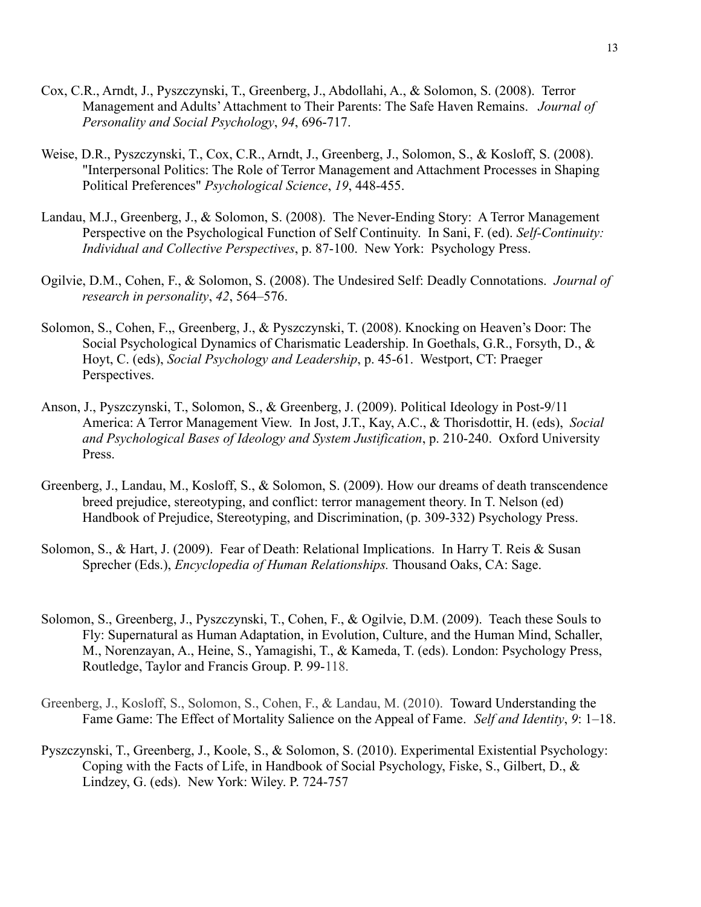- Cox, C.R., Arndt, J., Pyszczynski, T., Greenberg, J., Abdollahi, A., & Solomon, S. (2008). Terror Management and Adults'Attachment to Their Parents: The Safe Haven Remains. *Journal of Personality and Social Psychology*, *94*, 696-717.
- Weise, D.R., Pyszczynski, T., Cox, C.R., Arndt, J., Greenberg, J., Solomon, S., & Kosloff, S. (2008). "Interpersonal Politics: The Role of Terror Management and Attachment Processes in Shaping Political Preferences" *Psychological Science*, *19*, 448-455.
- Landau, M.J., Greenberg, J., & Solomon, S. (2008). The Never-Ending Story: A Terror Management Perspective on the Psychological Function of Self Continuity. In Sani, F. (ed). *Self-Continuity: Individual and Collective Perspectives*, p. 87-100. New York: Psychology Press.
- Ogilvie, D.M., Cohen, F., & Solomon, S. (2008). The Undesired Self: Deadly Connotations. *Journal of research in personality*, *42*, 564–576.
- Solomon, S., Cohen, F.,, Greenberg, J., & Pyszczynski, T. (2008). Knocking on Heaven's Door: The Social Psychological Dynamics of Charismatic Leadership. In Goethals, G.R., Forsyth, D., & Hoyt, C. (eds), *Social Psychology and Leadership*, p. 45-61. Westport, CT: Praeger Perspectives.
- Anson, J., Pyszczynski, T., Solomon, S., & Greenberg, J. (2009). Political Ideology in Post-9/11 America: A Terror Management View. In Jost, J.T., Kay, A.C., & Thorisdottir, H. (eds), *Social and Psychological Bases of Ideology and System Justification*, p. 210-240. Oxford University Press.
- Greenberg, J., Landau, M., Kosloff, S., & Solomon, S. (2009). How our dreams of death transcendence breed prejudice, stereotyping, and conflict: terror management theory. In T. Nelson (ed) Handbook of Prejudice, Stereotyping, and Discrimination, (p. 309-332) Psychology Press.
- Solomon, S., & Hart, J. (2009). Fear of Death: Relational Implications. In Harry T. Reis & Susan Sprecher (Eds.), *Encyclopedia of Human Relationships.* Thousand Oaks, CA: Sage.
- Solomon, S., Greenberg, J., Pyszczynski, T., Cohen, F., & Ogilvie, D.M. (2009). Teach these Souls to Fly: Supernatural as Human Adaptation, in Evolution, Culture, and the Human Mind, Schaller, M., Norenzayan, A., Heine, S., Yamagishi, T., & Kameda, T. (eds). London: Psychology Press, Routledge, Taylor and Francis Group. P. 99-118.
- Greenberg, J., Kosloff, S., Solomon, S., Cohen, F., & Landau, M. (2010). Toward Understanding the Fame Game: The Effect of Mortality Salience on the Appeal of Fame. *Self and Identity*, *9*: 1–18.
- Pyszczynski, T., Greenberg, J., Koole, S., & Solomon, S. (2010). Experimental Existential Psychology: Coping with the Facts of Life, in Handbook of Social Psychology, Fiske, S., Gilbert, D., & Lindzey, G. (eds). New York: Wiley. P. 724-757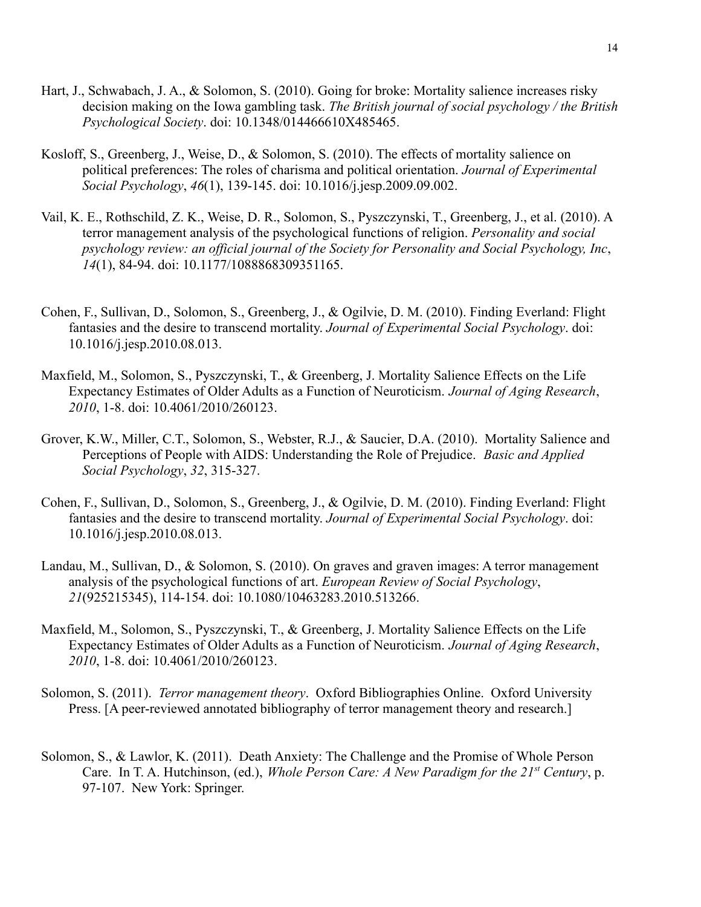- Hart, J., Schwabach, J. A., & Solomon, S. (2010). Going for broke: Mortality salience increases risky decision making on the Iowa gambling task. *The British journal of social psychology / the British Psychological Society*. doi: 10.1348/014466610X485465.
- Kosloff, S., Greenberg, J., Weise, D., & Solomon, S. (2010). The effects of mortality salience on political preferences: The roles of charisma and political orientation. *Journal of Experimental Social Psychology*, *46*(1), 139-145. doi: 10.1016/j.jesp.2009.09.002.
- Vail, K. E., Rothschild, Z. K., Weise, D. R., Solomon, S., Pyszczynski, T., Greenberg, J., et al. (2010). A terror management analysis of the psychological functions of religion. *Personality and social psychology review: an official journal of the Society for Personality and Social Psychology, Inc*, *14*(1), 84-94. doi: 10.1177/1088868309351165.
- Cohen, F., Sullivan, D., Solomon, S., Greenberg, J., & Ogilvie, D. M. (2010). Finding Everland: Flight fantasies and the desire to transcend mortality. *Journal of Experimental Social Psychology*. doi: 10.1016/j.jesp.2010.08.013.
- Maxfield, M., Solomon, S., Pyszczynski, T., & Greenberg, J. Mortality Salience Effects on the Life Expectancy Estimates of Older Adults as a Function of Neuroticism. *Journal of Aging Research*, *2010*, 1-8. doi: 10.4061/2010/260123.
- Grover, K.W., Miller, C.T., Solomon, S., Webster, R.J., & Saucier, D.A. (2010). Mortality Salience and Perceptions of People with AIDS: Understanding the Role of Prejudice. *Basic and Applied Social Psychology*, *32*, 315-327.
- Cohen, F., Sullivan, D., Solomon, S., Greenberg, J., & Ogilvie, D. M. (2010). Finding Everland: Flight fantasies and the desire to transcend mortality. *Journal of Experimental Social Psychology*. doi: 10.1016/j.jesp.2010.08.013.
- Landau, M., Sullivan, D., & Solomon, S. (2010). On graves and graven images: A terror management analysis of the psychological functions of art. *European Review of Social Psychology*, *21*(925215345), 114-154. doi: 10.1080/10463283.2010.513266.
- Maxfield, M., Solomon, S., Pyszczynski, T., & Greenberg, J. Mortality Salience Effects on the Life Expectancy Estimates of Older Adults as a Function of Neuroticism. *Journal of Aging Research*, *2010*, 1-8. doi: 10.4061/2010/260123.
- Solomon, S. (2011). *Terror management theory*. Oxford Bibliographies Online. Oxford University Press. [A peer-reviewed annotated bibliography of terror management theory and research.]
- Solomon, S., & Lawlor, K. (2011). Death Anxiety: The Challenge and the Promise of Whole Person Care. In T. A. Hutchinson, (ed.), *Whole Person Care: A New Paradigm for the 21st Century*, p. 97-107. New York: Springer.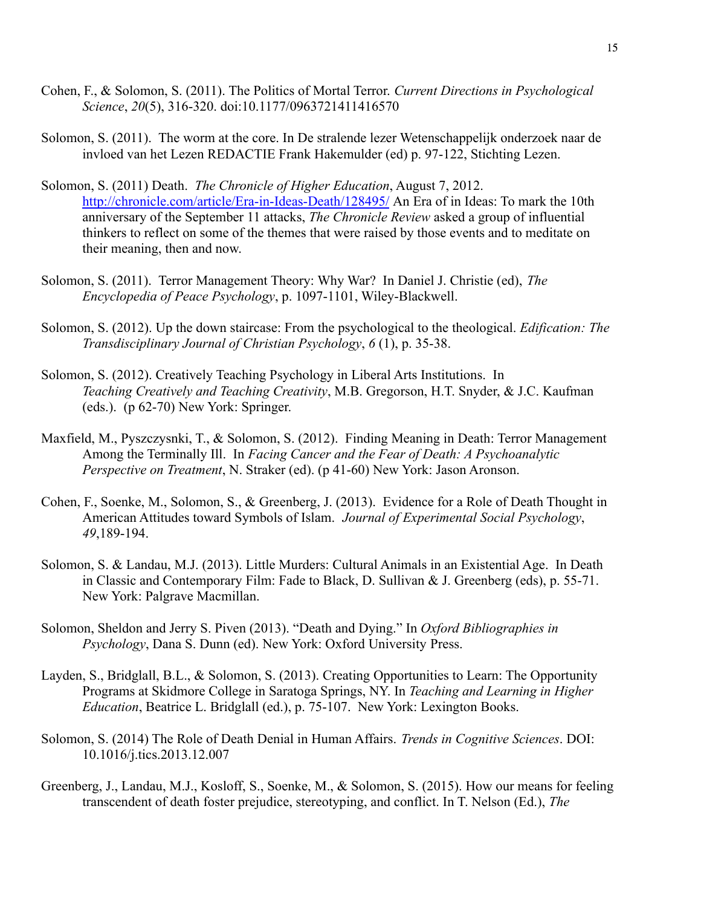- Cohen, F., & Solomon, S. (2011). The Politics of Mortal Terror. *Current Directions in Psychological Science*, *20*(5), 316-320. doi:10.1177/0963721411416570
- Solomon, S. (2011). The worm at the core. In De stralende lezer Wetenschappelijk onderzoek naar de invloed van het Lezen REDACTIE Frank Hakemulder (ed) p. 97-122, Stichting Lezen.
- Solomon, S. (2011) Death. *The Chronicle of Higher Education*, August 7, 2012. <http://chronicle.com/article/Era-in-Ideas-Death/128495/> An Era of in Ideas: To mark the 10th anniversary of the September 11 attacks, *The Chronicle Review* asked a group of influential thinkers to reflect on some of the themes that were raised by those events and to meditate on their meaning, then and now.
- Solomon, S. (2011). Terror Management Theory: Why War? In Daniel J. Christie (ed), *The Encyclopedia of Peace Psychology*, p. 1097-1101, Wiley-Blackwell.
- Solomon, S. (2012). Up the down staircase: From the psychological to the theological. *Edification: The Transdisciplinary Journal of Christian Psychology*, *6* (1), p. 35-38.
- Solomon, S. (2012). Creatively Teaching Psychology in Liberal Arts Institutions. In *Teaching Creatively and Teaching Creativity*, M.B. Gregorson, H.T. Snyder, & J.C. Kaufman (eds.). (p 62-70) New York: Springer.
- Maxfield, M., Pyszczysnki, T., & Solomon, S. (2012). Finding Meaning in Death: Terror Management Among the Terminally Ill. In *Facing Cancer and the Fear of Death: A Psychoanalytic Perspective on Treatment*, N. Straker (ed). (p 41-60) New York: Jason Aronson.
- Cohen, F., Soenke, M., Solomon, S., & Greenberg, J. (2013). Evidence for a Role of Death Thought in American Attitudes toward Symbols of Islam. *Journal of Experimental Social Psychology*, *49*,189-194.
- Solomon, S. & Landau, M.J. (2013). Little Murders: Cultural Animals in an Existential Age. In Death in Classic and Contemporary Film: Fade to Black, D. Sullivan & J. Greenberg (eds), p. 55-71. New York: Palgrave Macmillan.
- Solomon, Sheldon and Jerry S. Piven (2013). "Death and Dying." In *Oxford Bibliographies in Psychology*, Dana S. Dunn (ed). New York: Oxford University Press.
- Layden, S., Bridglall, B.L., & Solomon, S. (2013). Creating Opportunities to Learn: The Opportunity Programs at Skidmore College in Saratoga Springs, NY. In *Teaching and Learning in Higher Education*, Beatrice L. Bridglall (ed.), p. 75-107. New York: Lexington Books.
- Solomon, S. (2014) The Role of Death Denial in Human Affairs. *Trends in Cognitive Sciences*. DOI: 10.1016/j.tics.2013.12.007
- Greenberg, J., Landau, M.J., Kosloff, S., Soenke, M., & Solomon, S. (2015). How our means for feeling transcendent of death foster prejudice, stereotyping, and conflict. In T. Nelson (Ed.), *The*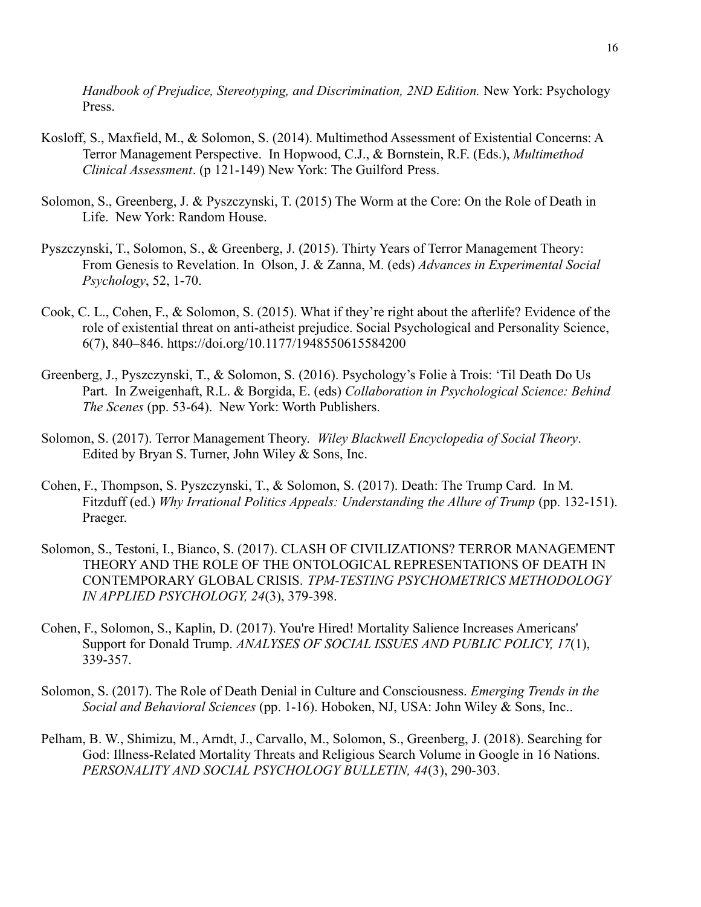*Handbook of Prejudice, Stereotyping, and Discrimination, 2ND Edition.* New York: Psychology Press.

- Kosloff, S., Maxfield, M., & Solomon, S. (2014). Multimethod Assessment of Existential Concerns: A Terror Management Perspective. In Hopwood, C.J., & Bornstein, R.F. (Eds.), *Multimethod Clinical Assessment*. (p 121-149) New York: The Guilford Press.
- Solomon, S., Greenberg, J. & Pyszczynski, T. (2015) The Worm at the Core: On the Role of Death in Life. New York: Random House.
- Pyszczynski, T., Solomon, S., & Greenberg, J. (2015). Thirty Years of Terror Management Theory: From Genesis to Revelation. In Olson, J. & Zanna, M. (eds) *Advances in Experimental Social Psychology*, 52, 1-70.
- Cook, C. L., Cohen, F., & Solomon, S. (2015). What if they're right about the afterlife? Evidence of the role of existential threat on anti-atheist prejudice. Social Psychological and Personality Science, 6(7), 840–846. https://doi.org/10.1177/1948550615584200
- Greenberg, J., Pyszczynski, T., & Solomon, S. (2016). Psychology's Folie à Trois: 'Til Death Do Us Part. In Zweigenhaft, R.L. & Borgida, E. (eds) *Collaboration in Psychological Science: Behind The Scenes* (pp. 53-64). New York: Worth Publishers.
- Solomon, S. (2017). Terror Management Theory. *Wiley Blackwell Encyclopedia of Social Theory*. Edited by Bryan S. Turner, John Wiley & Sons, Inc.
- Cohen, F., Thompson, S. Pyszczynski, T., & Solomon, S. (2017). Death: The Trump Card. In M. Fitzduff (ed.) *Why Irrational Politics Appeals: Understanding the Allure of Trump* (pp. 132-151). Praeger.
- Solomon, S., Testoni, I., Bianco, S. (2017). CLASH OF CIVILIZATIONS? TERROR MANAGEMENT THEORY AND THE ROLE OF THE ONTOLOGICAL REPRESENTATIONS OF DEATH IN CONTEMPORARY GLOBAL CRISIS. *TPM-TESTING PSYCHOMETRICS METHODOLOGY IN APPLIED PSYCHOLOGY, 24*(3), 379-398.
- Cohen, F., Solomon, S., Kaplin, D. (2017). You're Hired! Mortality Salience Increases Americans' Support for Donald Trump. *ANALYSES OF SOCIAL ISSUES AND PUBLIC POLICY, 17*(1), 339-357.
- Solomon, S. (2017). The Role of Death Denial in Culture and Consciousness. *Emerging Trends in the Social and Behavioral Sciences* (pp. 1-16). Hoboken, NJ, USA: John Wiley & Sons, Inc..
- Pelham, B. W., Shimizu, M., Arndt, J., Carvallo, M., Solomon, S., Greenberg, J. (2018). Searching for God: Illness-Related Mortality Threats and Religious Search Volume in Google in 16 Nations. *PERSONALITY AND SOCIAL PSYCHOLOGY BULLETIN, 44*(3), 290-303.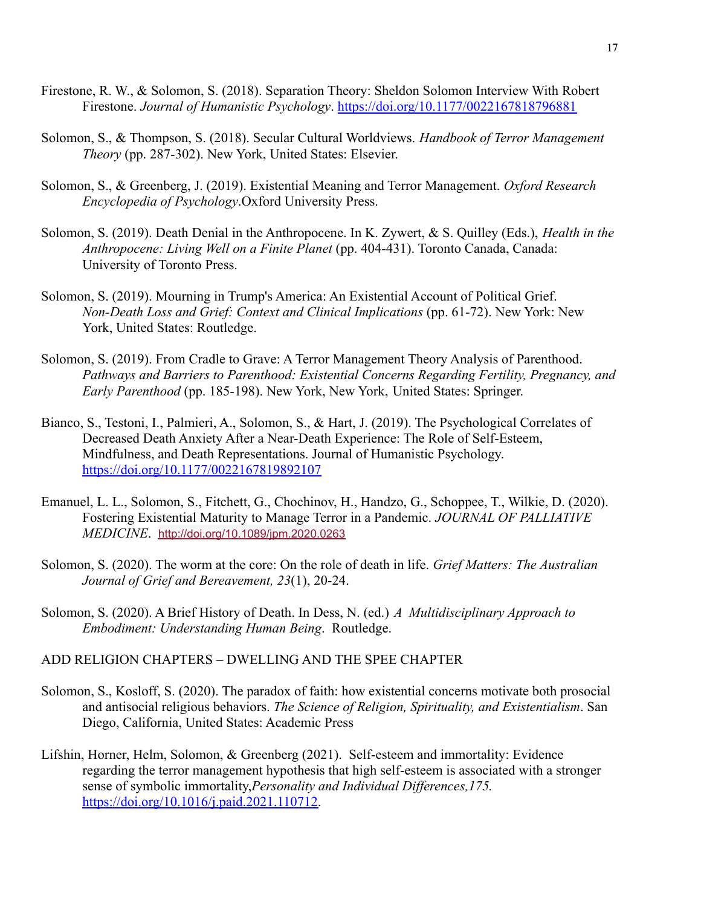- Firestone, R. W., & Solomon, S. (2018). Separation Theory: Sheldon Solomon Interview With Robert Firestone. *Journal of Humanistic Psychology*. <https://doi.org/10.1177/0022167818796881>
- Solomon, S., & Thompson, S. (2018). Secular Cultural Worldviews. *Handbook of Terror Management Theory* (pp. 287-302). New York, United States: Elsevier.
- Solomon, S., & Greenberg, J. (2019). Existential Meaning and Terror Management. *Oxford Research Encyclopedia of Psychology*.Oxford University Press.
- Solomon, S. (2019). Death Denial in the Anthropocene. In K. Zywert, & S. Quilley (Eds.), *Health in the Anthropocene: Living Well on a Finite Planet* (pp. 404-431). Toronto Canada, Canada: University of Toronto Press.
- Solomon, S. (2019). Mourning in Trump's America: An Existential Account of Political Grief. *Non-Death Loss and Grief: Context and Clinical Implications* (pp. 61-72). New York: New York, United States: Routledge.
- Solomon, S. (2019). From Cradle to Grave: A Terror Management Theory Analysis of Parenthood. *Pathways and Barriers to Parenthood: Existential Concerns Regarding Fertility, Pregnancy, and Early Parenthood* (pp. 185-198). New York, New York, United States: Springer.
- Bianco, S., Testoni, I., Palmieri, A., Solomon, S., & Hart, J. (2019). The Psychological Correlates of Decreased Death Anxiety After a Near-Death Experience: The Role of Self-Esteem, Mindfulness, and Death Representations. Journal of Humanistic Psychology. <https://doi.org/10.1177/0022167819892107>
- Emanuel, L. L., Solomon, S., Fitchett, G., Chochinov, H., Handzo, G., Schoppee, T., Wilkie, D. (2020). Fostering Existential Maturity to Manage Terror in a Pandemic. *JOURNAL OF PALLIATIVE MEDICINE*. [http://doi.org/10.1089/jpm.2020.0263](https://doi.org/10.1089/jpm.2020.0263)
- Solomon, S. (2020). The worm at the core: On the role of death in life. *Grief Matters: The Australian Journal of Grief and Bereavement, 23*(1), 20-24.
- Solomon, S. (2020). A Brief History of Death. In Dess, N. (ed.) *A Multidisciplinary Approach to Embodiment: Understanding Human Being*. Routledge.

# ADD RELIGION CHAPTERS – DWELLING AND THE SPEE CHAPTER

- Solomon, S., Kosloff, S. (2020). The paradox of faith: how existential concerns motivate both prosocial and antisocial religious behaviors. *The Science of Religion, Spirituality, and Existentialism*. San Diego, California, United States: Academic Press
- Lifshin, Horner, Helm, Solomon, & Greenberg (2021). Self-esteem and immortality: Evidence regarding the terror management hypothesis that high self-esteem is associated with a stronger sense of symbolic immortality,*Personality and Individual Differences,175.* [https://doi.org/10.1016/j.paid.2021.110712.](https://doi.org/10.1016/j.paid.2021.110712)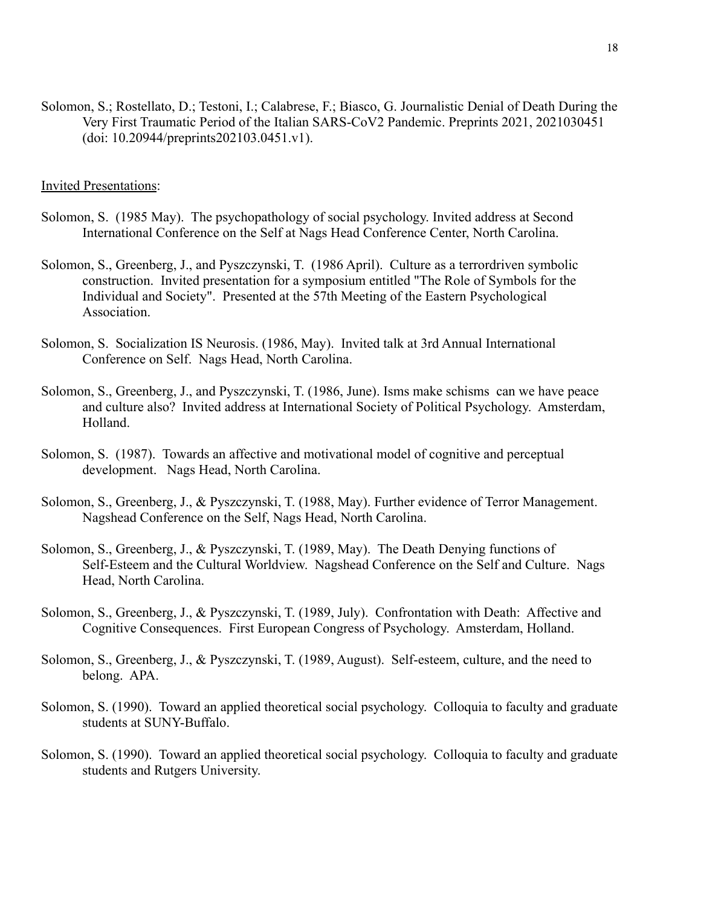Solomon, S.; Rostellato, D.; Testoni, I.; Calabrese, F.; Biasco, G. Journalistic Denial of Death During the Very First Traumatic Period of the Italian SARS-CoV2 Pandemic. Preprints 2021, 2021030451 (doi: 10.20944/preprints202103.0451.v1).

### Invited Presentations:

- Solomon, S. (1985 May). The psychopathology of social psychology. Invited address at Second International Conference on the Self at Nags Head Conference Center, North Carolina.
- Solomon, S., Greenberg, J., and Pyszczynski, T. (1986 April). Culture as a terrordriven symbolic construction. Invited presentation for a symposium entitled "The Role of Symbols for the Individual and Society". Presented at the 57th Meeting of the Eastern Psychological Association.
- Solomon, S. Socialization IS Neurosis. (1986, May). Invited talk at 3rd Annual International Conference on Self. Nags Head, North Carolina.
- Solomon, S., Greenberg, J., and Pyszczynski, T. (1986, June). Isms make schisms can we have peace and culture also? Invited address at International Society of Political Psychology. Amsterdam, Holland.
- Solomon, S. (1987). Towards an affective and motivational model of cognitive and perceptual development. Nags Head, North Carolina.
- Solomon, S., Greenberg, J., & Pyszczynski, T. (1988, May). Further evidence of Terror Management. Nagshead Conference on the Self, Nags Head, North Carolina.
- Solomon, S., Greenberg, J., & Pyszczynski, T. (1989, May). The Death Denying functions of Self-Esteem and the Cultural Worldview. Nagshead Conference on the Self and Culture. Nags Head, North Carolina.
- Solomon, S., Greenberg, J., & Pyszczynski, T. (1989, July). Confrontation with Death: Affective and Cognitive Consequences. First European Congress of Psychology. Amsterdam, Holland.
- Solomon, S., Greenberg, J., & Pyszczynski, T. (1989, August). Self-esteem, culture, and the need to belong. APA.
- Solomon, S. (1990). Toward an applied theoretical social psychology. Colloquia to faculty and graduate students at SUNY-Buffalo.
- Solomon, S. (1990). Toward an applied theoretical social psychology. Colloquia to faculty and graduate students and Rutgers University.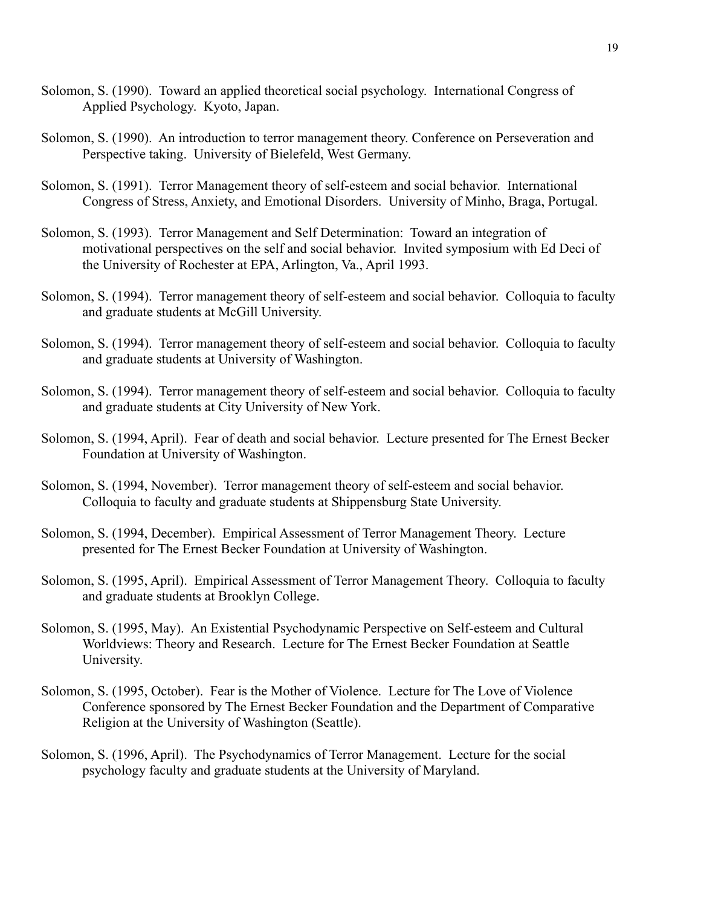- Solomon, S. (1990). Toward an applied theoretical social psychology. International Congress of Applied Psychology. Kyoto, Japan.
- Solomon, S. (1990). An introduction to terror management theory. Conference on Perseveration and Perspective taking. University of Bielefeld, West Germany.
- Solomon, S. (1991). Terror Management theory of self-esteem and social behavior. International Congress of Stress, Anxiety, and Emotional Disorders. University of Minho, Braga, Portugal.
- Solomon, S. (1993). Terror Management and Self Determination: Toward an integration of motivational perspectives on the self and social behavior. Invited symposium with Ed Deci of the University of Rochester at EPA, Arlington, Va., April 1993.
- Solomon, S. (1994). Terror management theory of self-esteem and social behavior. Colloquia to faculty and graduate students at McGill University.
- Solomon, S. (1994). Terror management theory of self-esteem and social behavior. Colloquia to faculty and graduate students at University of Washington.
- Solomon, S. (1994). Terror management theory of self-esteem and social behavior. Colloquia to faculty and graduate students at City University of New York.
- Solomon, S. (1994, April). Fear of death and social behavior. Lecture presented for The Ernest Becker Foundation at University of Washington.
- Solomon, S. (1994, November). Terror management theory of self-esteem and social behavior. Colloquia to faculty and graduate students at Shippensburg State University.
- Solomon, S. (1994, December). Empirical Assessment of Terror Management Theory. Lecture presented for The Ernest Becker Foundation at University of Washington.
- Solomon, S. (1995, April). Empirical Assessment of Terror Management Theory. Colloquia to faculty and graduate students at Brooklyn College.
- Solomon, S. (1995, May). An Existential Psychodynamic Perspective on Self-esteem and Cultural Worldviews: Theory and Research. Lecture for The Ernest Becker Foundation at Seattle University.
- Solomon, S. (1995, October). Fear is the Mother of Violence. Lecture for The Love of Violence Conference sponsored by The Ernest Becker Foundation and the Department of Comparative Religion at the University of Washington (Seattle).
- Solomon, S. (1996, April). The Psychodynamics of Terror Management. Lecture for the social psychology faculty and graduate students at the University of Maryland.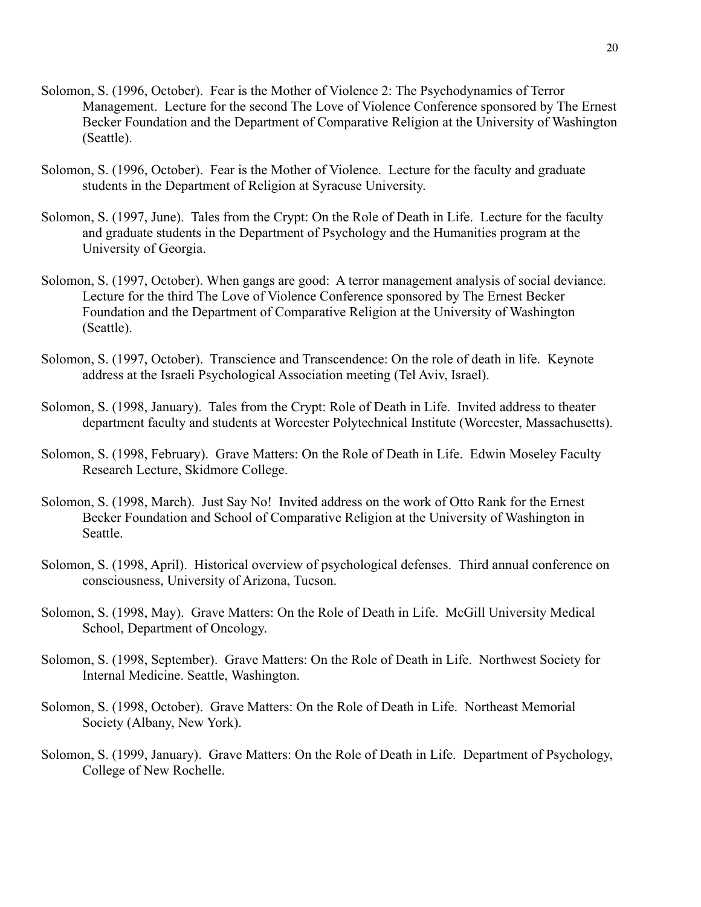- Solomon, S. (1996, October). Fear is the Mother of Violence 2: The Psychodynamics of Terror Management. Lecture for the second The Love of Violence Conference sponsored by The Ernest Becker Foundation and the Department of Comparative Religion at the University of Washington (Seattle).
- Solomon, S. (1996, October). Fear is the Mother of Violence. Lecture for the faculty and graduate students in the Department of Religion at Syracuse University.
- Solomon, S. (1997, June). Tales from the Crypt: On the Role of Death in Life. Lecture for the faculty and graduate students in the Department of Psychology and the Humanities program at the University of Georgia.
- Solomon, S. (1997, October). When gangs are good: A terror management analysis of social deviance. Lecture for the third The Love of Violence Conference sponsored by The Ernest Becker Foundation and the Department of Comparative Religion at the University of Washington (Seattle).
- Solomon, S. (1997, October). Transcience and Transcendence: On the role of death in life. Keynote address at the Israeli Psychological Association meeting (Tel Aviv, Israel).
- Solomon, S. (1998, January). Tales from the Crypt: Role of Death in Life. Invited address to theater department faculty and students at Worcester Polytechnical Institute (Worcester, Massachusetts).
- Solomon, S. (1998, February). Grave Matters: On the Role of Death in Life. Edwin Moseley Faculty Research Lecture, Skidmore College.
- Solomon, S. (1998, March). Just Say No! Invited address on the work of Otto Rank for the Ernest Becker Foundation and School of Comparative Religion at the University of Washington in Seattle.
- Solomon, S. (1998, April). Historical overview of psychological defenses. Third annual conference on consciousness, University of Arizona, Tucson.
- Solomon, S. (1998, May). Grave Matters: On the Role of Death in Life. McGill University Medical School, Department of Oncology.
- Solomon, S. (1998, September). Grave Matters: On the Role of Death in Life. Northwest Society for Internal Medicine. Seattle, Washington.
- Solomon, S. (1998, October). Grave Matters: On the Role of Death in Life. Northeast Memorial Society (Albany, New York).
- Solomon, S. (1999, January). Grave Matters: On the Role of Death in Life. Department of Psychology, College of New Rochelle.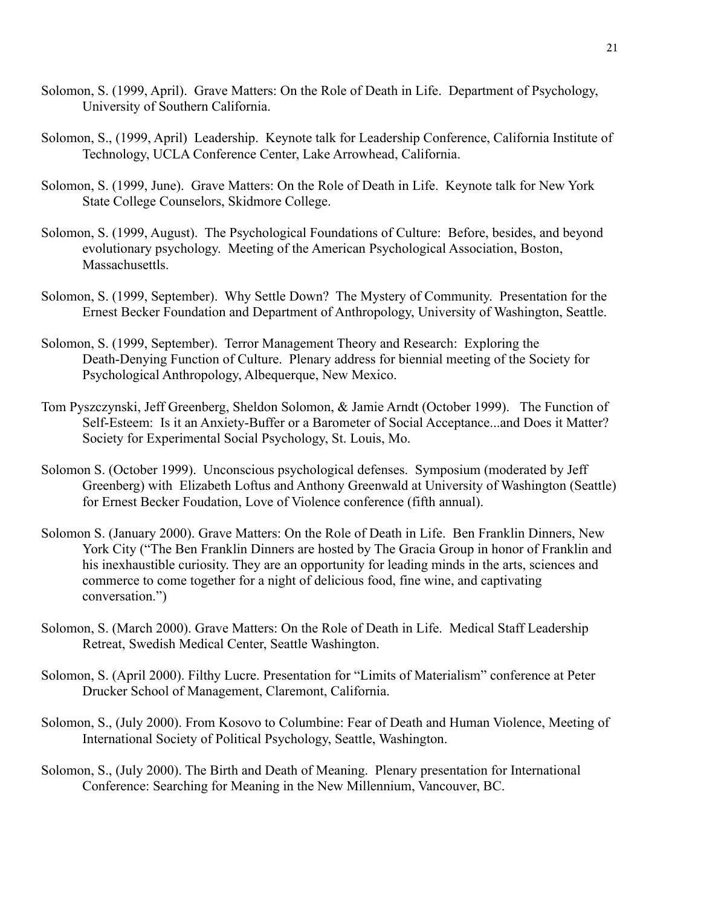- Solomon, S. (1999, April). Grave Matters: On the Role of Death in Life. Department of Psychology, University of Southern California.
- Solomon, S., (1999, April) Leadership. Keynote talk for Leadership Conference, California Institute of Technology, UCLA Conference Center, Lake Arrowhead, California.
- Solomon, S. (1999, June). Grave Matters: On the Role of Death in Life. Keynote talk for New York State College Counselors, Skidmore College.
- Solomon, S. (1999, August). The Psychological Foundations of Culture: Before, besides, and beyond evolutionary psychology. Meeting of the American Psychological Association, Boston, Massachusettls.
- Solomon, S. (1999, September). Why Settle Down? The Mystery of Community. Presentation for the Ernest Becker Foundation and Department of Anthropology, University of Washington, Seattle.
- Solomon, S. (1999, September). Terror Management Theory and Research: Exploring the Death-Denying Function of Culture. Plenary address for biennial meeting of the Society for Psychological Anthropology, Albequerque, New Mexico.
- Tom Pyszczynski, Jeff Greenberg, Sheldon Solomon, & Jamie Arndt (October 1999). The Function of Self-Esteem: Is it an Anxiety-Buffer or a Barometer of Social Acceptance...and Does it Matter? Society for Experimental Social Psychology, St. Louis, Mo.
- Solomon S. (October 1999). Unconscious psychological defenses. Symposium (moderated by Jeff Greenberg) with Elizabeth Loftus and Anthony Greenwald at University of Washington (Seattle) for Ernest Becker Foudation, Love of Violence conference (fifth annual).
- Solomon S. (January 2000). Grave Matters: On the Role of Death in Life. Ben Franklin Dinners, New York City ("The Ben Franklin Dinners are hosted by The Gracia Group in honor of Franklin and his inexhaustible curiosity. They are an opportunity for leading minds in the arts, sciences and commerce to come together for a night of delicious food, fine wine, and captivating conversation.")
- Solomon, S. (March 2000). Grave Matters: On the Role of Death in Life. Medical Staff Leadership Retreat, Swedish Medical Center, Seattle Washington.
- Solomon, S. (April 2000). Filthy Lucre. Presentation for "Limits of Materialism" conference at Peter Drucker School of Management, Claremont, California.
- Solomon, S., (July 2000). From Kosovo to Columbine: Fear of Death and Human Violence, Meeting of International Society of Political Psychology, Seattle, Washington.
- Solomon, S., (July 2000). The Birth and Death of Meaning. Plenary presentation for International Conference: Searching for Meaning in the New Millennium, Vancouver, BC.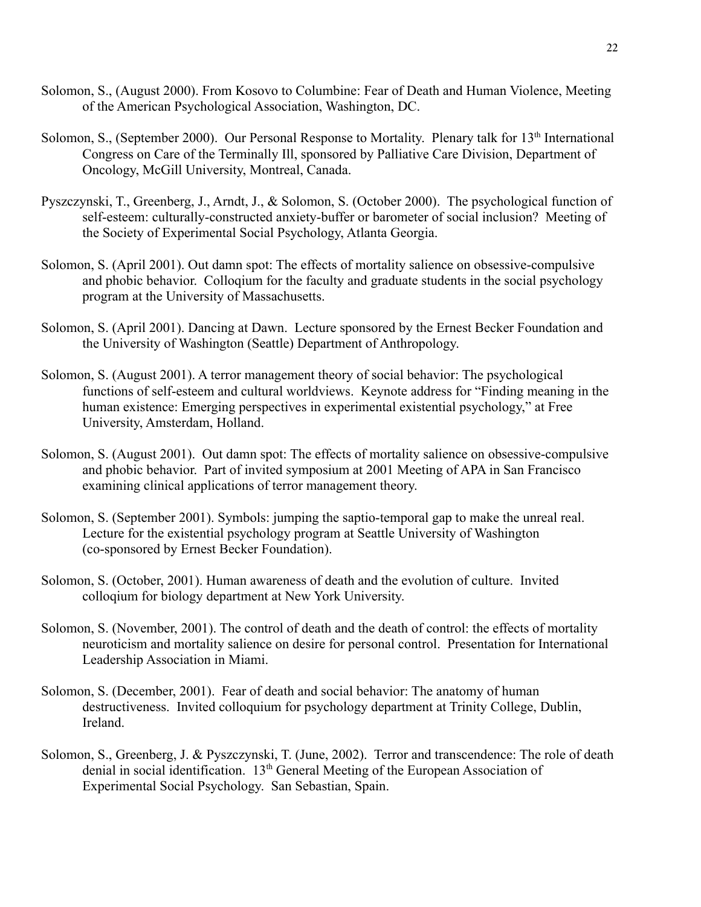- Solomon, S., (August 2000). From Kosovo to Columbine: Fear of Death and Human Violence, Meeting of the American Psychological Association, Washington, DC.
- Solomon, S., (September 2000). Our Personal Response to Mortality. Plenary talk for 13<sup>th</sup> International Congress on Care of the Terminally Ill, sponsored by Palliative Care Division, Department of Oncology, McGill University, Montreal, Canada.
- Pyszczynski, T., Greenberg, J., Arndt, J., & Solomon, S. (October 2000). The psychological function of self-esteem: culturally-constructed anxiety-buffer or barometer of social inclusion? Meeting of the Society of Experimental Social Psychology, Atlanta Georgia.
- Solomon, S. (April 2001). Out damn spot: The effects of mortality salience on obsessive-compulsive and phobic behavior. Colloqium for the faculty and graduate students in the social psychology program at the University of Massachusetts.
- Solomon, S. (April 2001). Dancing at Dawn. Lecture sponsored by the Ernest Becker Foundation and the University of Washington (Seattle) Department of Anthropology.
- Solomon, S. (August 2001). A terror management theory of social behavior: The psychological functions of self-esteem and cultural worldviews. Keynote address for "Finding meaning in the human existence: Emerging perspectives in experimental existential psychology," at Free University, Amsterdam, Holland.
- Solomon, S. (August 2001). Out damn spot: The effects of mortality salience on obsessive-compulsive and phobic behavior. Part of invited symposium at 2001 Meeting of APA in San Francisco examining clinical applications of terror management theory.
- Solomon, S. (September 2001). Symbols: jumping the saptio-temporal gap to make the unreal real. Lecture for the existential psychology program at Seattle University of Washington (co-sponsored by Ernest Becker Foundation).
- Solomon, S. (October, 2001). Human awareness of death and the evolution of culture. Invited colloqium for biology department at New York University.
- Solomon, S. (November, 2001). The control of death and the death of control: the effects of mortality neuroticism and mortality salience on desire for personal control. Presentation for International Leadership Association in Miami.
- Solomon, S. (December, 2001). Fear of death and social behavior: The anatomy of human destructiveness. Invited colloquium for psychology department at Trinity College, Dublin, Ireland.
- Solomon, S., Greenberg, J. & Pyszczynski, T. (June, 2002). Terror and transcendence: The role of death denial in social identification. 13th General Meeting of the European Association of Experimental Social Psychology. San Sebastian, Spain.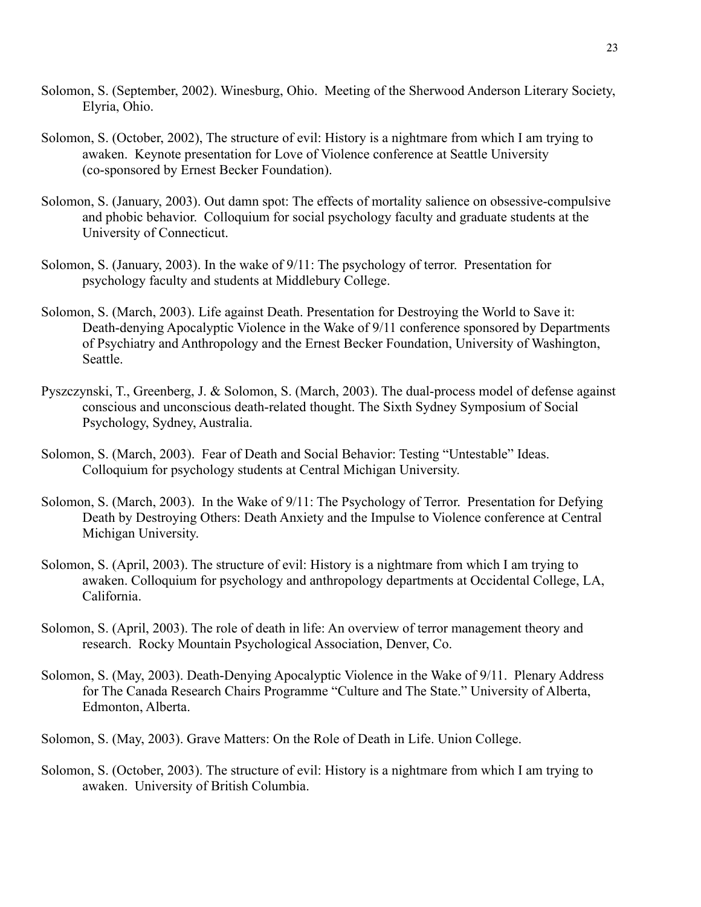- Solomon, S. (September, 2002). Winesburg, Ohio. Meeting of the Sherwood Anderson Literary Society, Elyria, Ohio.
- Solomon, S. (October, 2002), The structure of evil: History is a nightmare from which I am trying to awaken. Keynote presentation for Love of Violence conference at Seattle University (co-sponsored by Ernest Becker Foundation).
- Solomon, S. (January, 2003). Out damn spot: The effects of mortality salience on obsessive-compulsive and phobic behavior. Colloquium for social psychology faculty and graduate students at the University of Connecticut.
- Solomon, S. (January, 2003). In the wake of 9/11: The psychology of terror. Presentation for psychology faculty and students at Middlebury College.
- Solomon, S. (March, 2003). Life against Death. Presentation for Destroying the World to Save it: Death-denying Apocalyptic Violence in the Wake of 9/11 conference sponsored by Departments of Psychiatry and Anthropology and the Ernest Becker Foundation, University of Washington, Seattle.
- Pyszczynski, T., Greenberg, J. & Solomon, S. (March, 2003). The dual-process model of defense against conscious and unconscious death-related thought. The Sixth Sydney Symposium of Social Psychology, Sydney, Australia.
- Solomon, S. (March, 2003). Fear of Death and Social Behavior: Testing "Untestable" Ideas. Colloquium for psychology students at Central Michigan University.
- Solomon, S. (March, 2003). In the Wake of 9/11: The Psychology of Terror. Presentation for Defying Death by Destroying Others: Death Anxiety and the Impulse to Violence conference at Central Michigan University.
- Solomon, S. (April, 2003). The structure of evil: History is a nightmare from which I am trying to awaken. Colloquium for psychology and anthropology departments at Occidental College, LA, California.
- Solomon, S. (April, 2003). The role of death in life: An overview of terror management theory and research. Rocky Mountain Psychological Association, Denver, Co.
- Solomon, S. (May, 2003). Death-Denying Apocalyptic Violence in the Wake of 9/11. Plenary Address for The Canada Research Chairs Programme "Culture and The State." University of Alberta, Edmonton, Alberta.
- Solomon, S. (May, 2003). Grave Matters: On the Role of Death in Life. Union College.
- Solomon, S. (October, 2003). The structure of evil: History is a nightmare from which I am trying to awaken. University of British Columbia.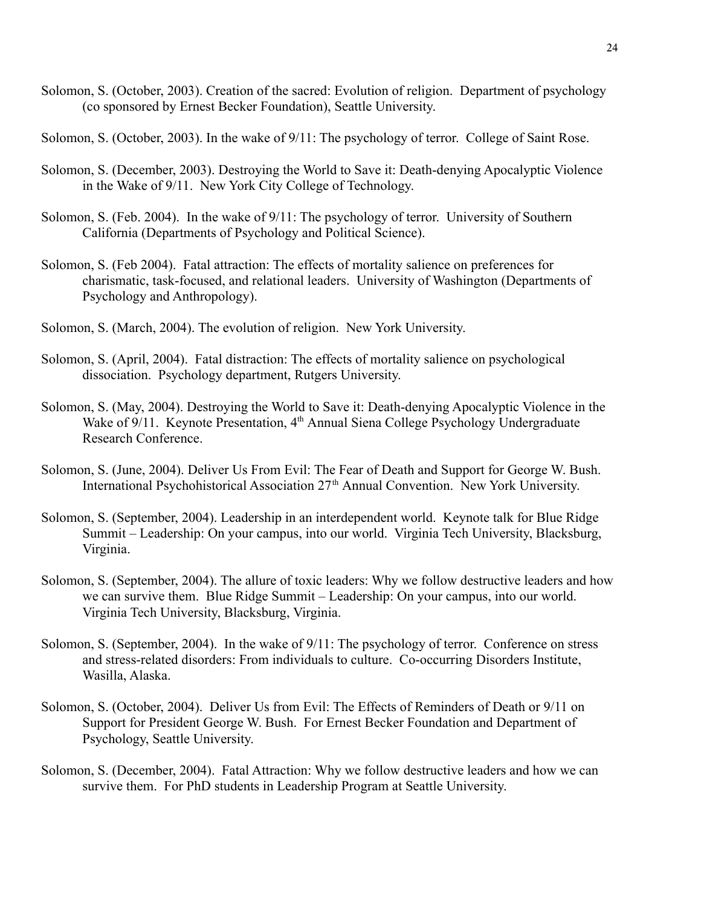- Solomon, S. (October, 2003). Creation of the sacred: Evolution of religion. Department of psychology (co sponsored by Ernest Becker Foundation), Seattle University.
- Solomon, S. (October, 2003). In the wake of 9/11: The psychology of terror. College of Saint Rose.
- Solomon, S. (December, 2003). Destroying the World to Save it: Death-denying Apocalyptic Violence in the Wake of 9/11. New York City College of Technology.
- Solomon, S. (Feb. 2004). In the wake of 9/11: The psychology of terror. University of Southern California (Departments of Psychology and Political Science).
- Solomon, S. (Feb 2004). Fatal attraction: The effects of mortality salience on preferences for charismatic, task-focused, and relational leaders. University of Washington (Departments of Psychology and Anthropology).
- Solomon, S. (March, 2004). The evolution of religion. New York University.
- Solomon, S. (April, 2004). Fatal distraction: The effects of mortality salience on psychological dissociation. Psychology department, Rutgers University.
- Solomon, S. (May, 2004). Destroying the World to Save it: Death-denying Apocalyptic Violence in the Wake of 9/11. Keynote Presentation, 4<sup>th</sup> Annual Siena College Psychology Undergraduate Research Conference.
- Solomon, S. (June, 2004). Deliver Us From Evil: The Fear of Death and Support for George W. Bush. International Psychohistorical Association 27<sup>th</sup> Annual Convention. New York University.
- Solomon, S. (September, 2004). Leadership in an interdependent world. Keynote talk for Blue Ridge Summit – Leadership: On your campus, into our world. Virginia Tech University, Blacksburg, Virginia.
- Solomon, S. (September, 2004). The allure of toxic leaders: Why we follow destructive leaders and how we can survive them. Blue Ridge Summit – Leadership: On your campus, into our world. Virginia Tech University, Blacksburg, Virginia.
- Solomon, S. (September, 2004). In the wake of  $9/11$ : The psychology of terror. Conference on stress and stress-related disorders: From individuals to culture. Co-occurring Disorders Institute, Wasilla, Alaska.
- Solomon, S. (October, 2004). Deliver Us from Evil: The Effects of Reminders of Death or 9/11 on Support for President George W. Bush. For Ernest Becker Foundation and Department of Psychology, Seattle University.
- Solomon, S. (December, 2004). Fatal Attraction: Why we follow destructive leaders and how we can survive them. For PhD students in Leadership Program at Seattle University.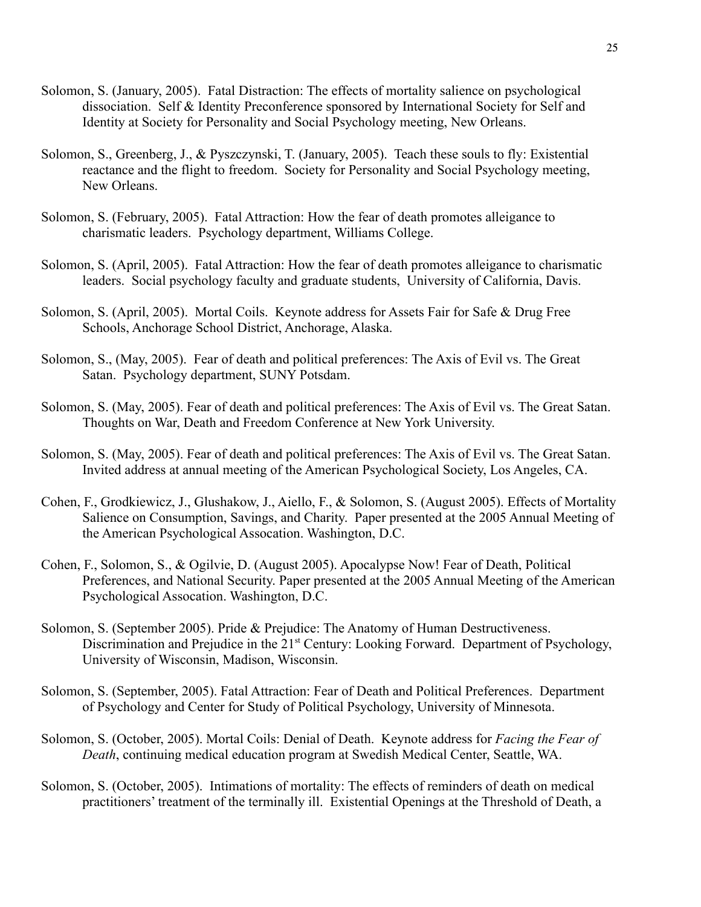- Solomon, S. (January, 2005). Fatal Distraction: The effects of mortality salience on psychological dissociation. Self & Identity Preconference sponsored by International Society for Self and Identity at Society for Personality and Social Psychology meeting, New Orleans.
- Solomon, S., Greenberg, J., & Pyszczynski, T. (January, 2005). Teach these souls to fly: Existential reactance and the flight to freedom. Society for Personality and Social Psychology meeting, New Orleans.
- Solomon, S. (February, 2005). Fatal Attraction: How the fear of death promotes alleigance to charismatic leaders. Psychology department, Williams College.
- Solomon, S. (April, 2005). Fatal Attraction: How the fear of death promotes alleigance to charismatic leaders. Social psychology faculty and graduate students, University of California, Davis.
- Solomon, S. (April, 2005). Mortal Coils. Keynote address for Assets Fair for Safe & Drug Free Schools, Anchorage School District, Anchorage, Alaska.
- Solomon, S., (May, 2005). Fear of death and political preferences: The Axis of Evil vs. The Great Satan. Psychology department, SUNY Potsdam.
- Solomon, S. (May, 2005). Fear of death and political preferences: The Axis of Evil vs. The Great Satan. Thoughts on War, Death and Freedom Conference at New York University.
- Solomon, S. (May, 2005). Fear of death and political preferences: The Axis of Evil vs. The Great Satan. Invited address at annual meeting of the American Psychological Society, Los Angeles, CA.
- Cohen, F., Grodkiewicz, J., Glushakow, J., Aiello, F., & Solomon, S. (August 2005). Effects of Mortality Salience on Consumption, Savings, and Charity. Paper presented at the 2005 Annual Meeting of the American Psychological Assocation. Washington, D.C.
- Cohen, F., Solomon, S., & Ogilvie, D. (August 2005). Apocalypse Now! Fear of Death, Political Preferences, and National Security. Paper presented at the 2005 Annual Meeting of the American Psychological Assocation. Washington, D.C.
- Solomon, S. (September 2005). Pride & Prejudice: The Anatomy of Human Destructiveness. Discrimination and Prejudice in the 21<sup>st</sup> Century: Looking Forward. Department of Psychology, University of Wisconsin, Madison, Wisconsin.
- Solomon, S. (September, 2005). Fatal Attraction: Fear of Death and Political Preferences. Department of Psychology and Center for Study of Political Psychology, University of Minnesota.
- Solomon, S. (October, 2005). Mortal Coils: Denial of Death. Keynote address for *Facing the Fear of Death*, continuing medical education program at Swedish Medical Center, Seattle, WA.
- Solomon, S. (October, 2005). Intimations of mortality: The effects of reminders of death on medical practitioners' treatment of the terminally ill. Existential Openings at the Threshold of Death, a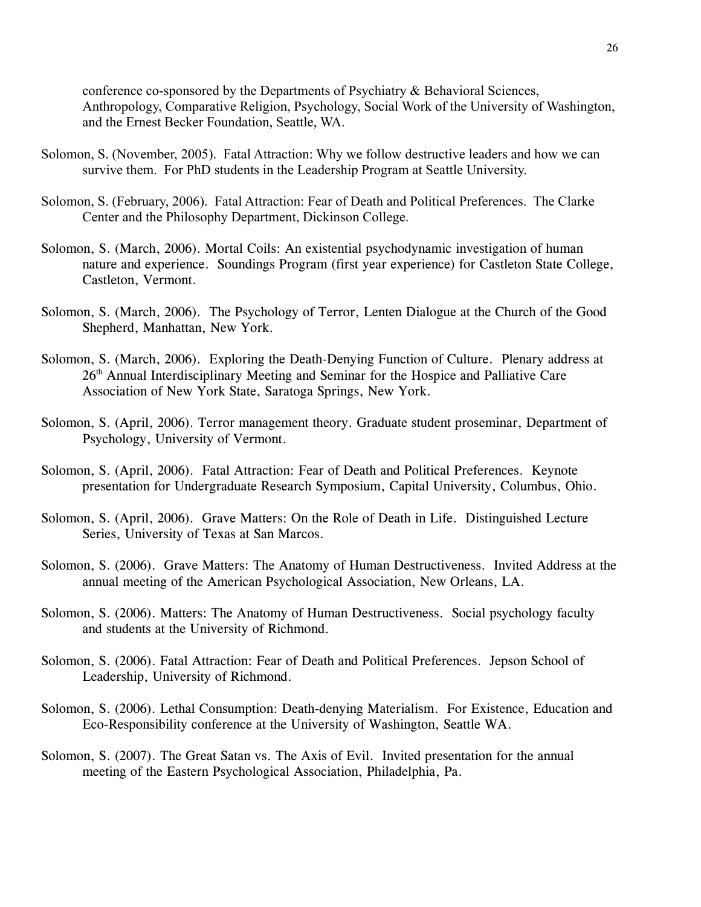conference co-sponsored by the Departments of Psychiatry & Behavioral Sciences, Anthropology, Comparative Religion, Psychology, Social Work of the University of Washington, and the Ernest Becker Foundation, Seattle, WA.

- Solomon, S. (November, 2005). Fatal Attraction: Why we follow destructive leaders and how we can survive them. For PhD students in the Leadership Program at Seattle University.
- Solomon, S. (February, 2006). Fatal Attraction: Fear of Death and Political Preferences. The Clarke Center and the Philosophy Department, Dickinson College.
- Solomon, S. (March, 2006). Mortal Coils: An existential psychodynamic investigation of human nature and experience. Soundings Program (first year experience) for Castleton State College, Castleton, Vermont.
- Solomon, S. (March, 2006). The Psychology of Terror, Lenten Dialogue at the Church of the Good Shepherd, Manhattan, New York.
- Solomon, S. (March, 2006). Exploring the Death-Denying Function of Culture. Plenary address at 26<sup>th</sup> Annual Interdisciplinary Meeting and Seminar for the Hospice and Palliative Care Association of New York State, Saratoga Springs, New York.
- Solomon, S. (April, 2006). Terror management theory. Graduate student proseminar, Department of Psychology, University of Vermont.
- Solomon, S. (April, 2006). Fatal Attraction: Fear of Death and Political Preferences. Keynote presentation for Undergraduate Research Symposium, Capital University, Columbus, Ohio.
- Solomon, S. (April, 2006). Grave Matters: On the Role of Death in Life. Distinguished Lecture Series, University of Texas at San Marcos.
- Solomon, S. (2006). Grave Matters: The Anatomy of Human Destructiveness. Invited Address at the annual meeting of the American Psychological Association, New Orleans, LA.
- Solomon, S. (2006). Matters: The Anatomy of Human Destructiveness. Social psychology faculty and students at the University of Richmond.
- Solomon, S. (2006). Fatal Attraction: Fear of Death and Political Preferences. Jepson School of Leadership, University of Richmond.
- Solomon, S. (2006). Lethal Consumption: Death-denying Materialism. For Existence, Education and Eco-Responsibility conference at the University of Washington, Seattle WA.
- Solomon, S. (2007). The Great Satan vs. The Axis of Evil. Invited presentation for the annual meeting of the Eastern Psychological Association, Philadelphia, Pa.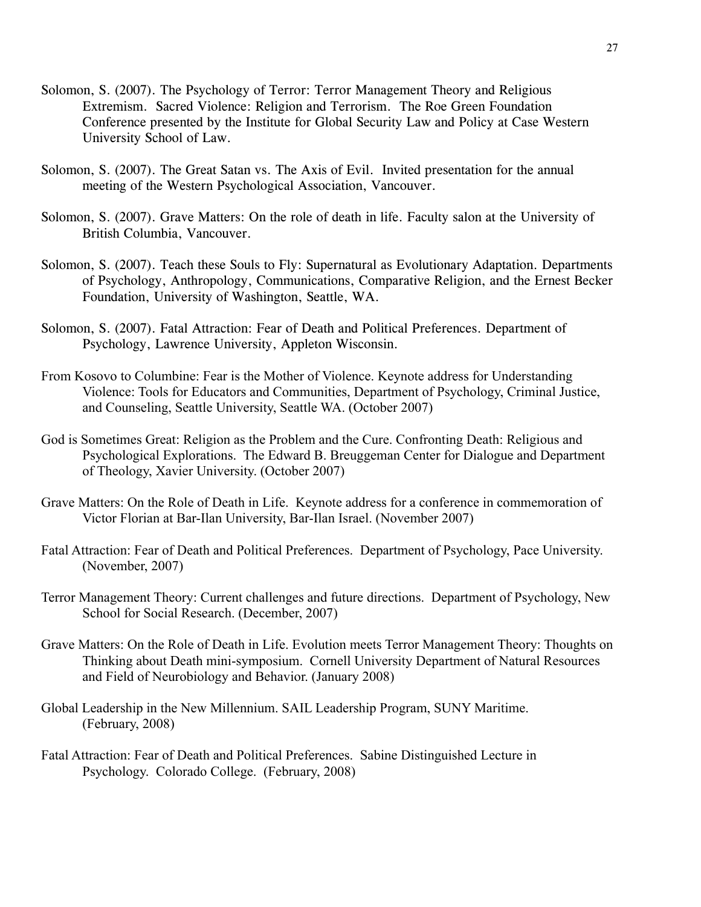- Solomon, S. (2007). The Psychology of Terror: Terror Management Theory and Religious Extremism. Sacred Violence: Religion and Terrorism. The Roe Green Foundation Conference presented by the Institute for Global Security Law and Policy at Case Western University School of Law.
- Solomon, S. (2007). The Great Satan vs. The Axis of Evil. Invited presentation for the annual meeting of the Western Psychological Association, Vancouver.
- Solomon, S. (2007). Grave Matters: On the role of death in life. Faculty salon at the University of British Columbia, Vancouver.
- Solomon, S. (2007). Teach these Souls to Fly: Supernatural as Evolutionary Adaptation. Departments of Psychology, Anthropology, Communications, Comparative Religion, and the Ernest Becker Foundation, University of Washington, Seattle, WA.
- Solomon, S. (2007). Fatal Attraction: Fear of Death and Political Preferences. Department of Psychology, Lawrence University, Appleton Wisconsin.
- From Kosovo to Columbine: Fear is the Mother of Violence. Keynote address for Understanding Violence: Tools for Educators and Communities, Department of Psychology, Criminal Justice, and Counseling, Seattle University, Seattle WA. (October 2007)
- God is Sometimes Great: Religion as the Problem and the Cure. Confronting Death: Religious and Psychological Explorations. The Edward B. Breuggeman Center for Dialogue and Department of Theology, Xavier University. (October 2007)
- Grave Matters: On the Role of Death in Life. Keynote address for a conference in commemoration of Victor Florian at Bar-Ilan University, Bar-Ilan Israel. (November 2007)
- Fatal Attraction: Fear of Death and Political Preferences. Department of Psychology, Pace University. (November, 2007)
- Terror Management Theory: Current challenges and future directions. Department of Psychology, New School for Social Research. (December, 2007)
- Grave Matters: On the Role of Death in Life. Evolution meets Terror Management Theory: Thoughts on Thinking about Death mini-symposium. Cornell University Department of Natural Resources and Field of Neurobiology and Behavior. (January 2008)
- Global Leadership in the New Millennium. SAIL Leadership Program, SUNY Maritime. (February, 2008)
- Fatal Attraction: Fear of Death and Political Preferences. Sabine Distinguished Lecture in Psychology. Colorado College. (February, 2008)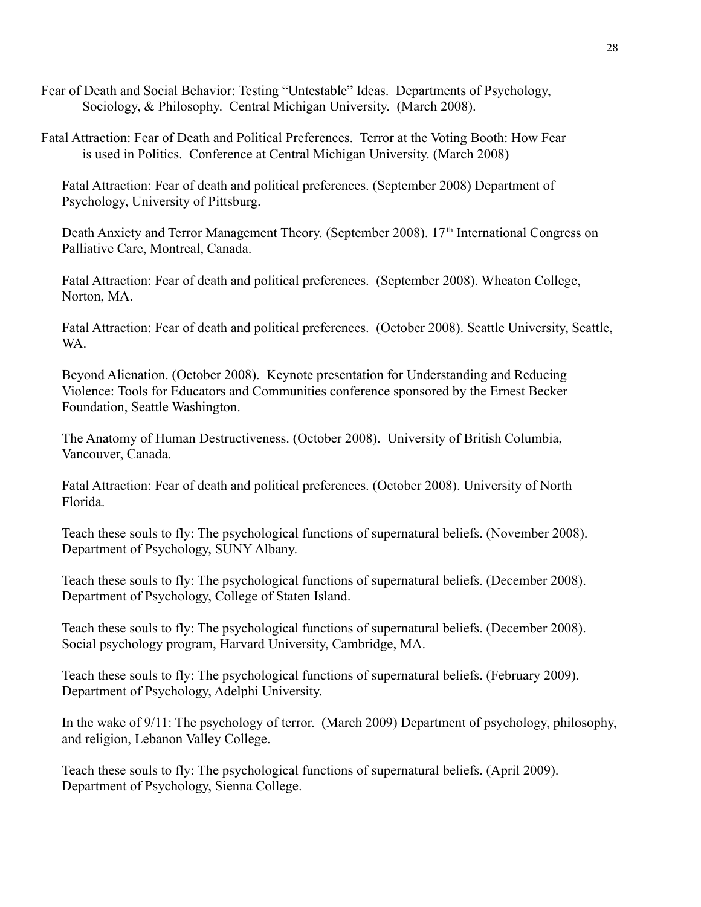Fear of Death and Social Behavior: Testing "Untestable" Ideas. Departments of Psychology, Sociology, & Philosophy. Central Michigan University. (March 2008).

Fatal Attraction: Fear of Death and Political Preferences. Terror at the Voting Booth: How Fear is used in Politics. Conference at Central Michigan University. (March 2008)

Fatal Attraction: Fear of death and political preferences. (September 2008) Department of Psychology, University of Pittsburg.

Death Anxiety and Terror Management Theory. (September 2008). 17<sup>th</sup> International Congress on Palliative Care, Montreal, Canada.

Fatal Attraction: Fear of death and political preferences. (September 2008). Wheaton College, Norton, MA.

Fatal Attraction: Fear of death and political preferences. (October 2008). Seattle University, Seattle, WA.

Beyond Alienation. (October 2008). Keynote presentation for Understanding and Reducing Violence: Tools for Educators and Communities conference sponsored by the Ernest Becker Foundation, Seattle Washington.

The Anatomy of Human Destructiveness. (October 2008). University of British Columbia, Vancouver, Canada.

Fatal Attraction: Fear of death and political preferences. (October 2008). University of North Florida.

Teach these souls to fly: The psychological functions of supernatural beliefs. (November 2008). Department of Psychology, SUNY Albany.

Teach these souls to fly: The psychological functions of supernatural beliefs. (December 2008). Department of Psychology, College of Staten Island.

Teach these souls to fly: The psychological functions of supernatural beliefs. (December 2008). Social psychology program, Harvard University, Cambridge, MA.

Teach these souls to fly: The psychological functions of supernatural beliefs. (February 2009). Department of Psychology, Adelphi University.

In the wake of 9/11: The psychology of terror. (March 2009) Department of psychology, philosophy, and religion, Lebanon Valley College.

Teach these souls to fly: The psychological functions of supernatural beliefs. (April 2009). Department of Psychology, Sienna College.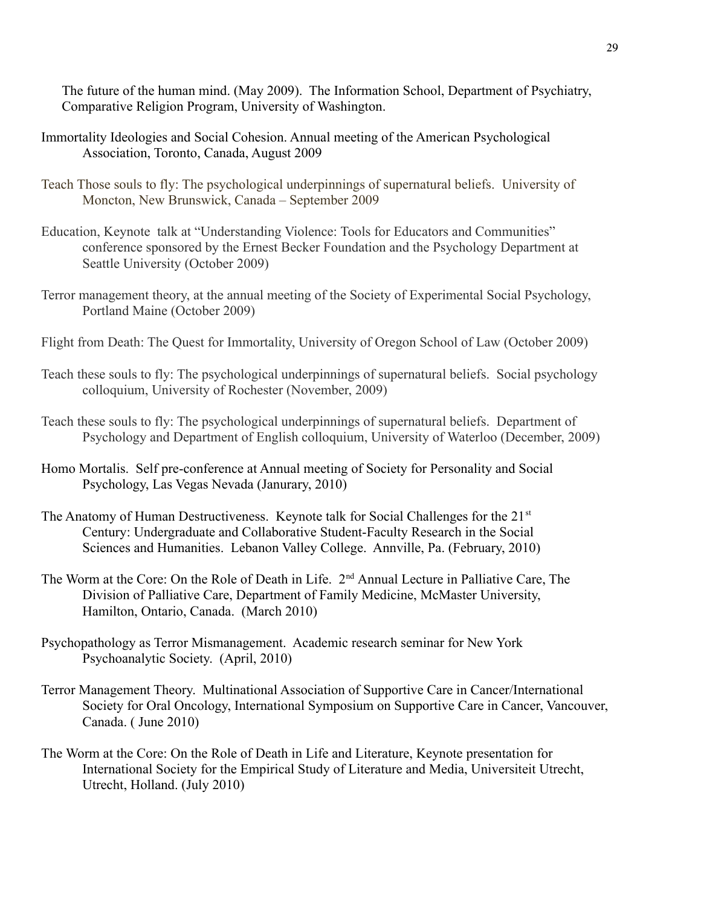The future of the human mind. (May 2009). The Information School, Department of Psychiatry, Comparative Religion Program, University of Washington.

- Immortality Ideologies and Social Cohesion. Annual meeting of the American Psychological Association, Toronto, Canada, August 2009
- Teach Those souls to fly: The psychological underpinnings of supernatural beliefs. University of Moncton, New Brunswick, Canada – September 2009
- Education, Keynote talk at "Understanding Violence: Tools for Educators and Communities" conference sponsored by the Ernest Becker Foundation and the Psychology Department at Seattle University (October 2009)
- Terror management theory, at the annual meeting of the Society of Experimental Social Psychology, Portland Maine (October 2009)
- Flight from Death: The Quest for Immortality, University of Oregon School of Law (October 2009)
- Teach these souls to fly: The psychological underpinnings of supernatural beliefs. Social psychology colloquium, University of Rochester (November, 2009)
- Teach these souls to fly: The psychological underpinnings of supernatural beliefs. Department of Psychology and Department of English colloquium, University of Waterloo (December, 2009)
- Homo Mortalis. Self pre-conference at Annual meeting of Society for Personality and Social Psychology, Las Vegas Nevada (Janurary, 2010)
- The Anatomy of Human Destructiveness. Keynote talk for Social Challenges for the 21<sup>st</sup> Century: Undergraduate and Collaborative Student-Faculty Research in the Social Sciences and Humanities. Lebanon Valley College. Annville, Pa. (February, 2010)
- The Worm at the Core: On the Role of Death in Life. 2<sup>nd</sup> Annual Lecture in Palliative Care, The Division of Palliative Care, Department of Family Medicine, McMaster University, Hamilton, Ontario, Canada. (March 2010)
- Psychopathology as Terror Mismanagement. Academic research seminar for New York Psychoanalytic Society. (April, 2010)
- Terror Management Theory. Multinational Association of Supportive Care in Cancer/International Society for Oral Oncology, International Symposium on Supportive Care in Cancer, Vancouver, Canada. ( June 2010)
- The Worm at the Core: On the Role of Death in Life and Literature, Keynote presentation for International Society for the Empirical Study of Literature and Media, Universiteit Utrecht, Utrecht, Holland. (July 2010)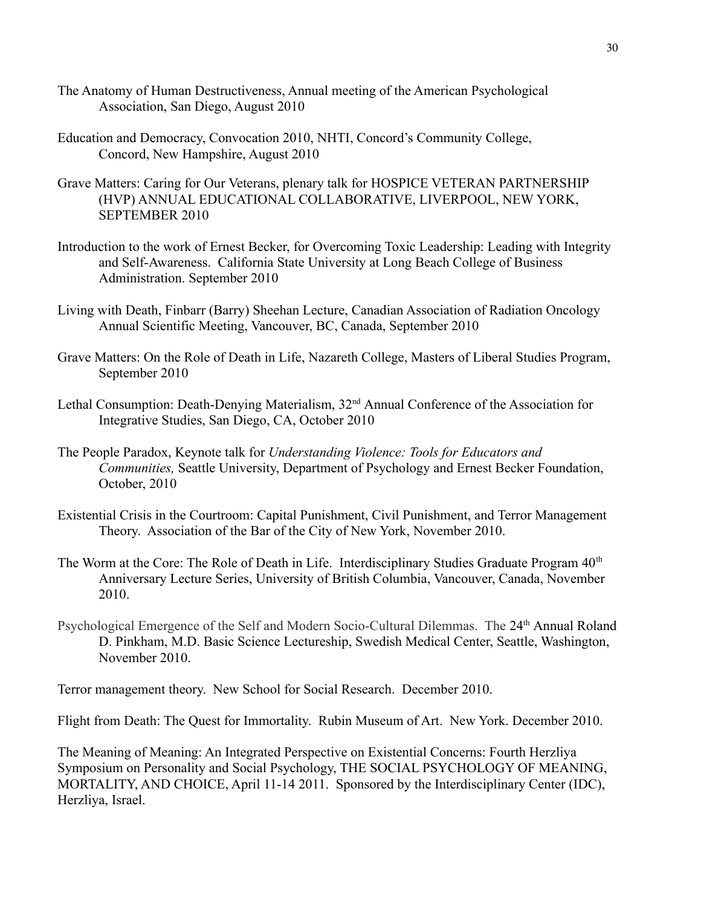- The Anatomy of Human Destructiveness, Annual meeting of the American Psychological Association, San Diego, August 2010
- Education and Democracy, Convocation 2010, NHTI, Concord's Community College, Concord, New Hampshire, August 2010
- Grave Matters: Caring for Our Veterans, plenary talk for HOSPICE VETERAN PARTNERSHIP (HVP) ANNUAL EDUCATIONAL COLLABORATIVE, LIVERPOOL, NEW YORK, SEPTEMBER 2010
- Introduction to the work of Ernest Becker, for Overcoming Toxic Leadership: Leading with Integrity and Self-Awareness. California State University at Long Beach College of Business Administration. September 2010
- Living with Death, Finbarr (Barry) Sheehan Lecture, Canadian Association of Radiation Oncology Annual Scientific Meeting, Vancouver, BC, Canada, September 2010
- Grave Matters: On the Role of Death in Life, Nazareth College, Masters of Liberal Studies Program, September 2010
- Lethal Consumption: Death-Denying Materialism, 32<sup>nd</sup> Annual Conference of the Association for Integrative Studies, San Diego, CA, October 2010
- The People Paradox, Keynote talk for *Understanding Violence: Tools for Educators and Communities,* Seattle University, Department of Psychology and Ernest Becker Foundation, October, 2010
- Existential Crisis in the Courtroom: Capital Punishment, Civil Punishment, and Terror Management Theory. Association of the Bar of the City of New York, November 2010.
- The Worm at the Core: The Role of Death in Life. Interdisciplinary Studies Graduate Program 40<sup>th</sup> Anniversary Lecture Series, University of British Columbia, Vancouver, Canada, November 2010.
- Psychological Emergence of the Self and Modern Socio-Cultural Dilemmas. The 24<sup>th</sup> Annual Roland D. Pinkham, M.D. Basic Science Lectureship, Swedish Medical Center, Seattle, Washington, November 2010.

Terror management theory. New School for Social Research. December 2010.

Flight from Death: The Quest for Immortality. Rubin Museum of Art. New York. December 2010.

The Meaning of Meaning: An Integrated Perspective on Existential Concerns: Fourth Herzliya Symposium on Personality and Social Psychology, THE SOCIAL PSYCHOLOGY OF MEANING, MORTALITY, AND CHOICE, April 11-14 2011. Sponsored by the Interdisciplinary Center (IDC), Herzliya, Israel.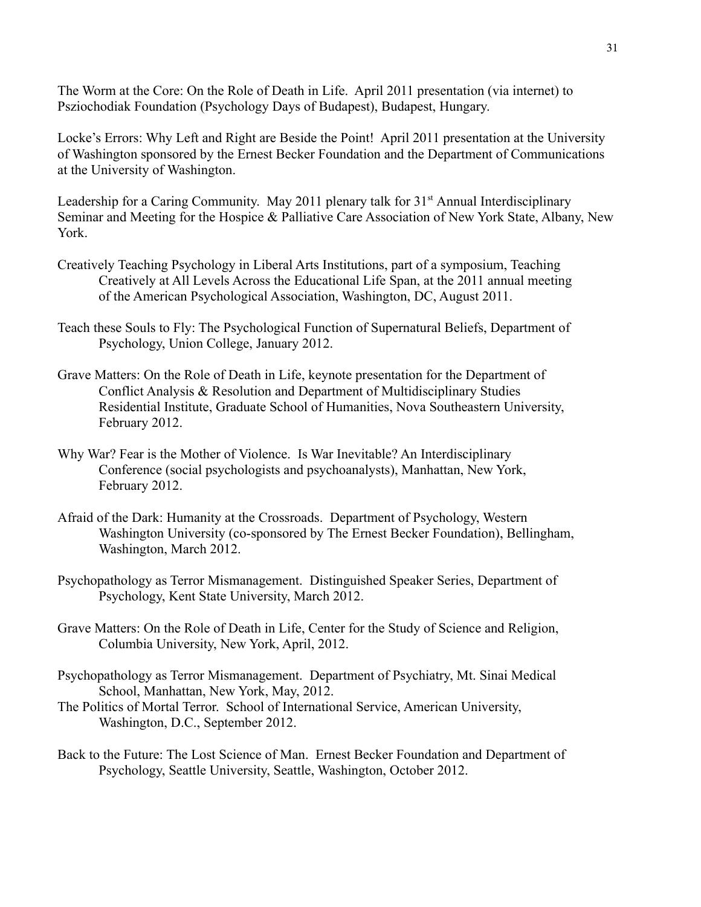The Worm at the Core: On the Role of Death in Life. April 2011 presentation (via internet) to Psziochodiak Foundation (Psychology Days of Budapest), Budapest, Hungary.

Locke's Errors: Why Left and Right are Beside the Point! April 2011 presentation at the University of Washington sponsored by the Ernest Becker Foundation and the Department of Communications at the University of Washington.

Leadership for a Caring Community. May 2011 plenary talk for  $31<sup>st</sup>$  Annual Interdisciplinary Seminar and Meeting for the Hospice & Palliative Care Association of New York State, Albany, New York.

- Creatively Teaching Psychology in Liberal Arts Institutions, part of a symposium, Teaching Creatively at All Levels Across the Educational Life Span, at the 2011 annual meeting of the American Psychological Association, Washington, DC, August 2011.
- Teach these Souls to Fly: The Psychological Function of Supernatural Beliefs, Department of Psychology, Union College, January 2012.
- Grave Matters: On the Role of Death in Life, keynote presentation for the Department of Conflict Analysis & Resolution and Department of Multidisciplinary Studies Residential Institute, Graduate School of Humanities, Nova Southeastern University, February 2012.
- Why War? Fear is the Mother of Violence. Is War Inevitable? An Interdisciplinary Conference (social psychologists and psychoanalysts), Manhattan, New York, February 2012.
- Afraid of the Dark: Humanity at the Crossroads. Department of Psychology, Western Washington University (co-sponsored by The Ernest Becker Foundation), Bellingham, Washington, March 2012.
- Psychopathology as Terror Mismanagement. Distinguished Speaker Series, Department of Psychology, Kent State University, March 2012.
- Grave Matters: On the Role of Death in Life, Center for the Study of Science and Religion, Columbia University, New York, April, 2012.
- Psychopathology as Terror Mismanagement. Department of Psychiatry, Mt. Sinai Medical School, Manhattan, New York, May, 2012.
- The Politics of Mortal Terror. School of International Service, American University, Washington, D.C., September 2012.
- Back to the Future: The Lost Science of Man. Ernest Becker Foundation and Department of Psychology, Seattle University, Seattle, Washington, October 2012.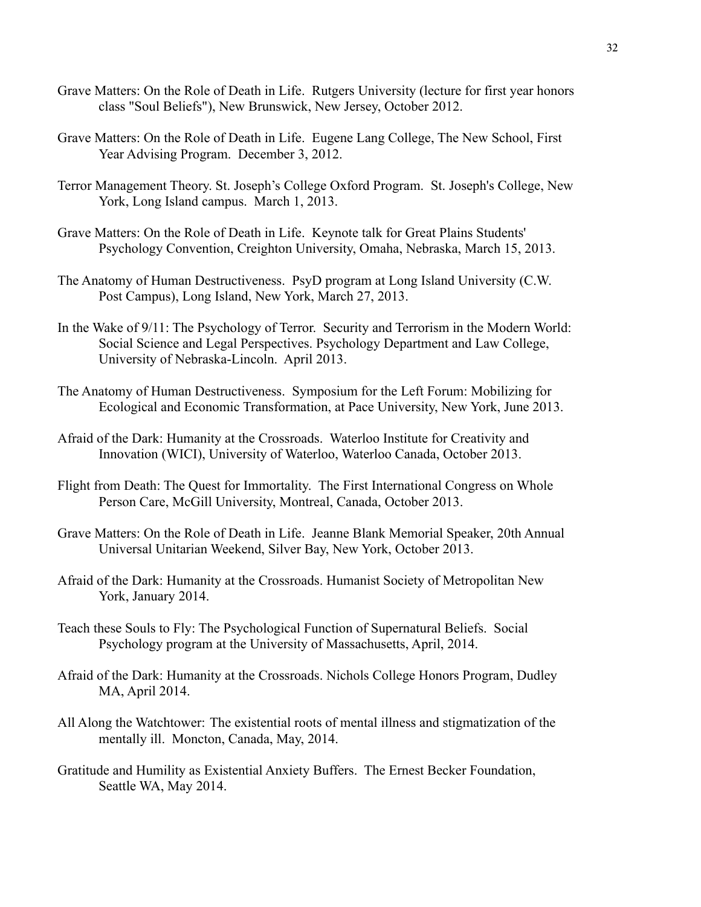- Grave Matters: On the Role of Death in Life. Rutgers University (lecture for first year honors class "Soul Beliefs"), New Brunswick, New Jersey, October 2012.
- Grave Matters: On the Role of Death in Life. Eugene Lang College, The New School, First Year Advising Program. December 3, 2012.
- Terror Management Theory. St. Joseph's College Oxford Program. St. Joseph's College, New York, Long Island campus. March 1, 2013.
- Grave Matters: On the Role of Death in Life. Keynote talk for Great Plains Students' Psychology Convention, Creighton University, Omaha, Nebraska, March 15, 2013.
- The Anatomy of Human Destructiveness. PsyD program at Long Island University (C.W. Post Campus), Long Island, New York, March 27, 2013.
- In the Wake of 9/11: The Psychology of Terror. Security and Terrorism in the Modern World: Social Science and Legal Perspectives. Psychology Department and Law College, University of Nebraska-Lincoln. April 2013.
- The Anatomy of Human Destructiveness. Symposium for the Left Forum: Mobilizing for Ecological and Economic Transformation, at Pace University, New York, June 2013.
- Afraid of the Dark: Humanity at the Crossroads. Waterloo Institute for Creativity and Innovation (WICI), University of Waterloo, Waterloo Canada, October 2013.
- Flight from Death: The Quest for Immortality. The First International Congress on Whole Person Care, McGill University, Montreal, Canada, October 2013.
- Grave Matters: On the Role of Death in Life. Jeanne Blank Memorial Speaker, 20th Annual Universal Unitarian Weekend, Silver Bay, New York, October 2013.
- Afraid of the Dark: Humanity at the Crossroads. Humanist Society of Metropolitan New York, January 2014.
- Teach these Souls to Fly: The Psychological Function of Supernatural Beliefs. Social Psychology program at the University of Massachusetts, April, 2014.
- Afraid of the Dark: Humanity at the Crossroads. Nichols College Honors Program, Dudley MA, April 2014.
- All Along the Watchtower: The existential roots of mental illness and stigmatization of the mentally ill. Moncton, Canada, May, 2014.
- Gratitude and Humility as Existential Anxiety Buffers. The Ernest Becker Foundation, Seattle WA, May 2014.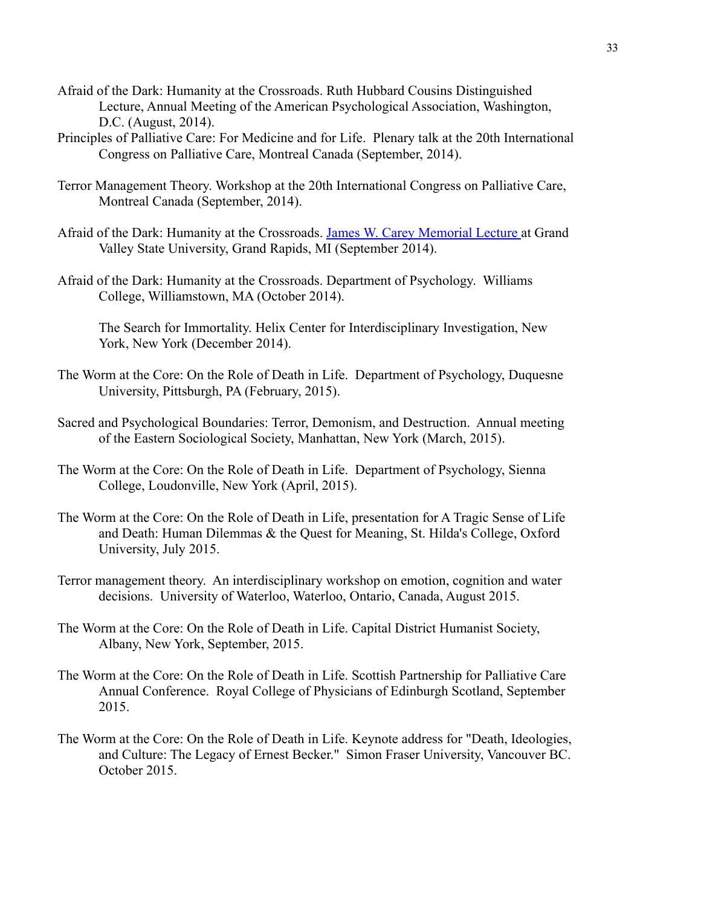- Afraid of the Dark: Humanity at the Crossroads. Ruth Hubbard Cousins Distinguished Lecture, Annual Meeting of the American Psychological Association, Washington, D.C. (August, 2014).
- Principles of Palliative Care: For Medicine and for Life. Plenary talk at the 20th International Congress on Palliative Care, Montreal Canada (September, 2014).
- Terror Management Theory. Workshop at the 20th International Congress on Palliative Care, Montreal Canada (September, 2014).
- Afraid of the Dark: Humanity at the Crossroads. James [W. Carey Memorial Lecture](http://www.gvsu.edu/events/james-w-carey-memorial-lecture-dr-sheldon-solomon/) at Grand Valley State University, Grand Rapids, MI (September 2014).
- Afraid of the Dark: Humanity at the Crossroads. Department of Psychology. Williams College, Williamstown, MA (October 2014).

The Search for Immortality. Helix Center for Interdisciplinary Investigation, New York, New York (December 2014).

- The Worm at the Core: On the Role of Death in Life. Department of Psychology, Duquesne University, Pittsburgh, PA (February, 2015).
- Sacred and Psychological Boundaries: Terror, Demonism, and Destruction. Annual meeting of the Eastern Sociological Society, Manhattan, New York (March, 2015).
- The Worm at the Core: On the Role of Death in Life. Department of Psychology, Sienna College, Loudonville, New York (April, 2015).
- The Worm at the Core: On the Role of Death in Life, presentation for A Tragic Sense of Life and Death: Human Dilemmas & the Quest for Meaning, St. Hilda's College, Oxford University, July 2015.
- Terror management theory. An interdisciplinary workshop on emotion, cognition and water decisions. University of Waterloo, Waterloo, Ontario, Canada, August 2015.
- The Worm at the Core: On the Role of Death in Life. Capital District Humanist Society, Albany, New York, September, 2015.
- The Worm at the Core: On the Role of Death in Life. Scottish Partnership for Palliative Care Annual Conference. Royal College of Physicians of Edinburgh Scotland, September 2015.
- The Worm at the Core: On the Role of Death in Life. Keynote address for "Death, Ideologies, and Culture: The Legacy of Ernest Becker." Simon Fraser University, Vancouver BC. October 2015.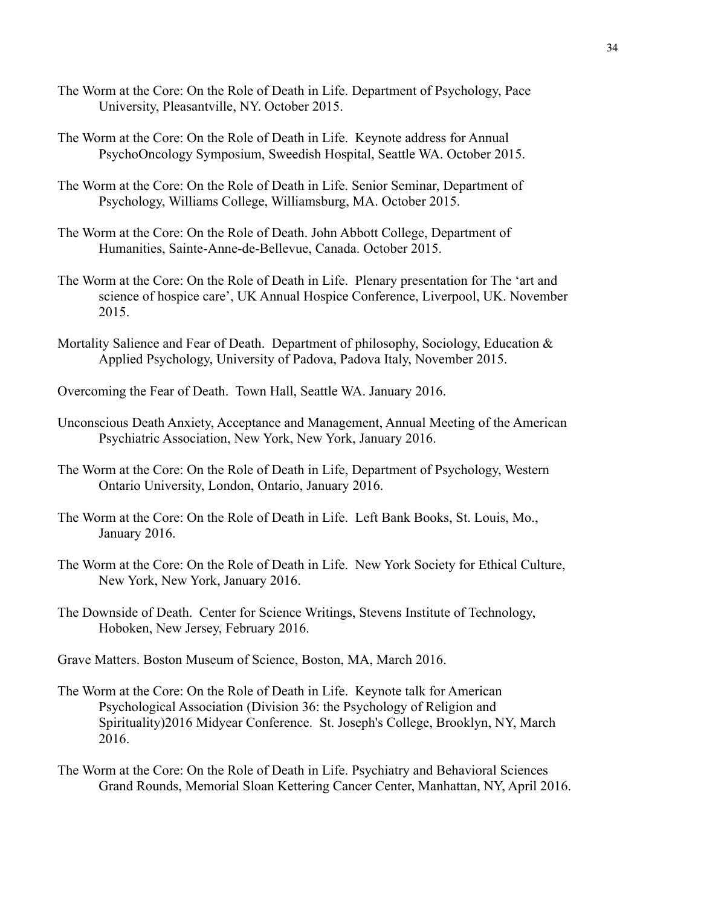- The Worm at the Core: On the Role of Death in Life. Department of Psychology, Pace University, Pleasantville, NY. October 2015.
- The Worm at the Core: On the Role of Death in Life. Keynote address for Annual PsychoOncology Symposium, Sweedish Hospital, Seattle WA. October 2015.
- The Worm at the Core: On the Role of Death in Life. Senior Seminar, Department of Psychology, Williams College, Williamsburg, MA. October 2015.
- The Worm at the Core: On the Role of Death. John Abbott College, Department of Humanities, Sainte-Anne-de-Bellevue, Canada. October 2015.
- The Worm at the Core: On the Role of Death in Life. Plenary presentation for The 'art and science of hospice care', UK Annual Hospice Conference, Liverpool, UK. November 2015.
- Mortality Salience and Fear of Death. Department of philosophy, Sociology, Education  $\&$ Applied Psychology, University of Padova, Padova Italy, November 2015.
- Overcoming the Fear of Death. Town Hall, Seattle WA. January 2016.
- Unconscious Death Anxiety, Acceptance and Management, Annual Meeting of the American Psychiatric Association, New York, New York, January 2016.
- The Worm at the Core: On the Role of Death in Life, Department of Psychology, Western Ontario University, London, Ontario, January 2016.
- The Worm at the Core: On the Role of Death in Life. Left Bank Books, St. Louis, Mo., January 2016.
- The Worm at the Core: On the Role of Death in Life. New York Society for Ethical Culture, New York, New York, January 2016.
- The Downside of Death. Center for Science Writings, Stevens Institute of Technology, Hoboken, New Jersey, February 2016.
- Grave Matters. Boston Museum of Science, Boston, MA, March 2016.
- The Worm at the Core: On the Role of Death in Life. Keynote talk for American Psychological Association (Division 36: the Psychology of Religion and Spirituality)2016 Midyear Conference. St. Joseph's College, Brooklyn, NY, March 2016.
- The Worm at the Core: On the Role of Death in Life. Psychiatry and Behavioral Sciences Grand Rounds, Memorial Sloan Kettering Cancer Center, Manhattan, NY, April 2016.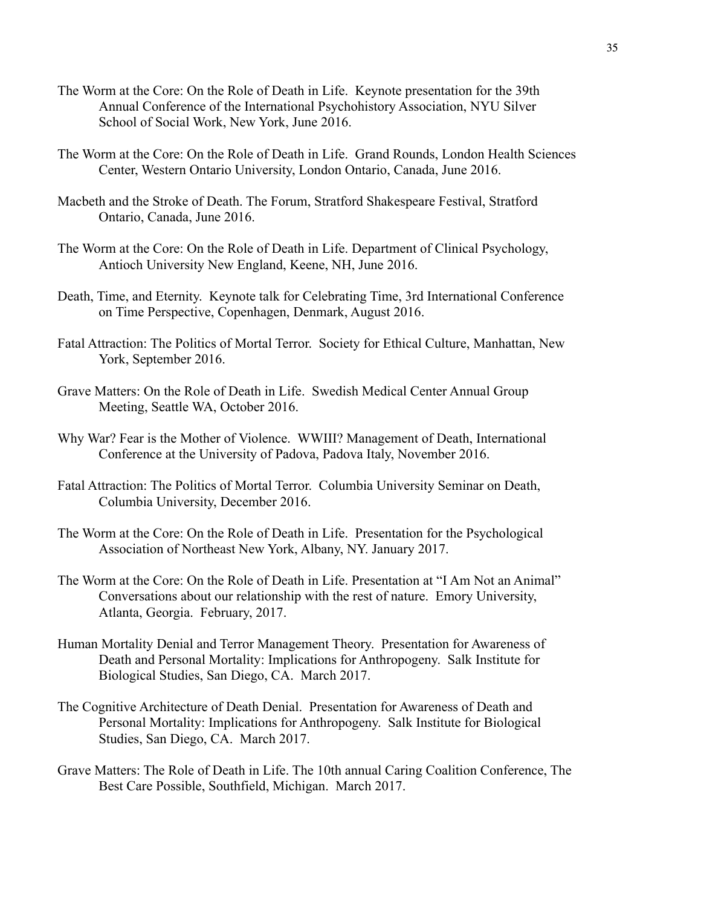- The Worm at the Core: On the Role of Death in Life. Keynote presentation for the 39th Annual Conference of the International Psychohistory Association, NYU Silver School of Social Work, New York, June 2016.
- The Worm at the Core: On the Role of Death in Life. Grand Rounds, London Health Sciences Center, Western Ontario University, London Ontario, Canada, June 2016.
- Macbeth and the Stroke of Death. The Forum, Stratford Shakespeare Festival, Stratford Ontario, Canada, June 2016.
- The Worm at the Core: On the Role of Death in Life. Department of Clinical Psychology, Antioch University New England, Keene, NH, June 2016.
- Death, Time, and Eternity. Keynote talk for Celebrating Time, 3rd International Conference on Time Perspective, Copenhagen, Denmark, August 2016.
- Fatal Attraction: The Politics of Mortal Terror. Society for Ethical Culture, Manhattan, New York, September 2016.
- Grave Matters: On the Role of Death in Life. Swedish Medical Center Annual Group Meeting, Seattle WA, October 2016.
- Why War? Fear is the Mother of Violence. WWIII? Management of Death, International Conference at the University of Padova, Padova Italy, November 2016.
- Fatal Attraction: The Politics of Mortal Terror. Columbia University Seminar on Death, Columbia University, December 2016.
- The Worm at the Core: On the Role of Death in Life. Presentation for the Psychological Association of Northeast New York, Albany, NY. January 2017.
- The Worm at the Core: On the Role of Death in Life. Presentation at "I Am Not an Animal" Conversations about our relationship with the rest of nature. Emory University, Atlanta, Georgia. February, 2017.
- Human Mortality Denial and Terror Management Theory. Presentation for Awareness of Death and Personal Mortality: Implications for Anthropogeny. Salk Institute for Biological Studies, San Diego, CA. March 2017.
- The Cognitive Architecture of Death Denial. Presentation for Awareness of Death and Personal Mortality: Implications for Anthropogeny. Salk Institute for Biological Studies, San Diego, CA. March 2017.
- Grave Matters: The Role of Death in Life. The 10th annual Caring Coalition Conference, The Best Care Possible, Southfield, Michigan. March 2017.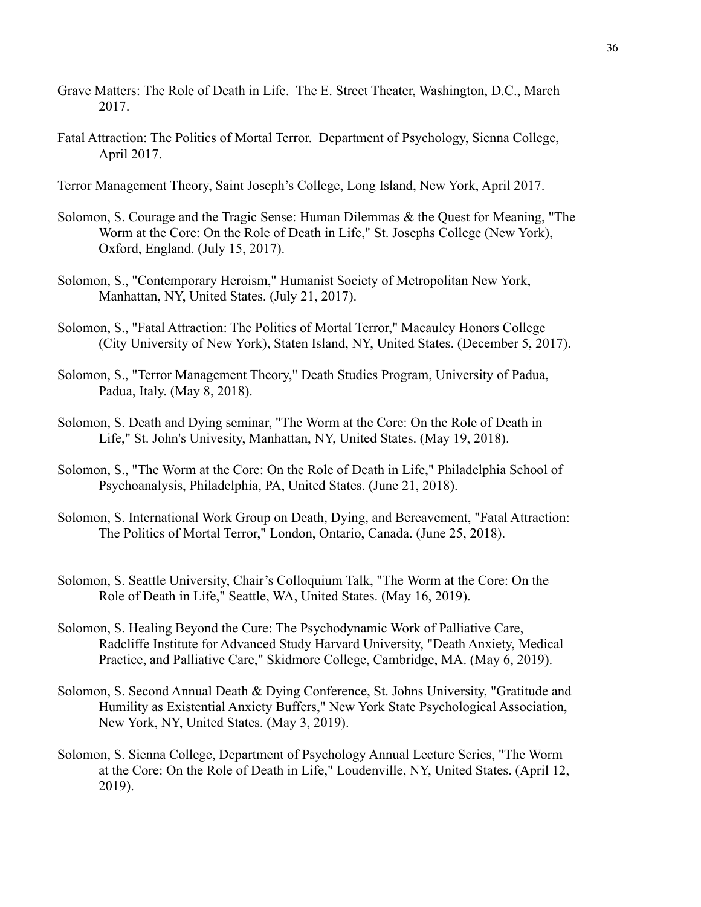- Grave Matters: The Role of Death in Life. The E. Street Theater, Washington, D.C., March 2017.
- Fatal Attraction: The Politics of Mortal Terror. Department of Psychology, Sienna College, April 2017.

Terror Management Theory, Saint Joseph's College, Long Island, New York, April 2017.

- Solomon, S. Courage and the Tragic Sense: Human Dilemmas & the Quest for Meaning, "The Worm at the Core: On the Role of Death in Life," St. Josephs College (New York), Oxford, England. (July 15, 2017).
- Solomon, S., "Contemporary Heroism," Humanist Society of Metropolitan New York, Manhattan, NY, United States. (July 21, 2017).
- Solomon, S., "Fatal Attraction: The Politics of Mortal Terror," Macauley Honors College (City University of New York), Staten Island, NY, United States. (December 5, 2017).
- Solomon, S., "Terror Management Theory," Death Studies Program, University of Padua, Padua, Italy. (May 8, 2018).
- Solomon, S. Death and Dying seminar, "The Worm at the Core: On the Role of Death in Life," St. John's Univesity, Manhattan, NY, United States. (May 19, 2018).
- Solomon, S., "The Worm at the Core: On the Role of Death in Life," Philadelphia School of Psychoanalysis, Philadelphia, PA, United States. (June 21, 2018).
- Solomon, S. International Work Group on Death, Dying, and Bereavement, "Fatal Attraction: The Politics of Mortal Terror," London, Ontario, Canada. (June 25, 2018).
- Solomon, S. Seattle University, Chair's Colloquium Talk, "The Worm at the Core: On the Role of Death in Life," Seattle, WA, United States. (May 16, 2019).
- Solomon, S. Healing Beyond the Cure: The Psychodynamic Work of Palliative Care, Radcliffe Institute for Advanced Study Harvard University, "Death Anxiety, Medical Practice, and Palliative Care," Skidmore College, Cambridge, MA. (May 6, 2019).
- Solomon, S. Second Annual Death & Dying Conference, St. Johns University, "Gratitude and Humility as Existential Anxiety Buffers," New York State Psychological Association, New York, NY, United States. (May 3, 2019).
- Solomon, S. Sienna College, Department of Psychology Annual Lecture Series, "The Worm at the Core: On the Role of Death in Life," Loudenville, NY, United States. (April 12, 2019).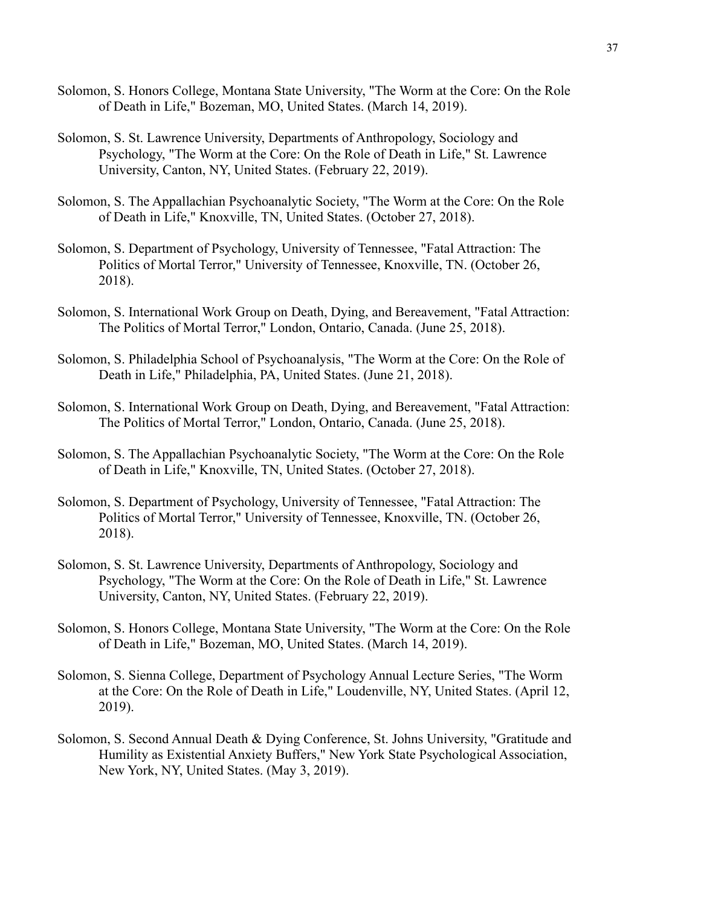- Solomon, S. Honors College, Montana State University, "The Worm at the Core: On the Role of Death in Life," Bozeman, MO, United States. (March 14, 2019).
- Solomon, S. St. Lawrence University, Departments of Anthropology, Sociology and Psychology, "The Worm at the Core: On the Role of Death in Life," St. Lawrence University, Canton, NY, United States. (February 22, 2019).
- Solomon, S. The Appallachian Psychoanalytic Society, "The Worm at the Core: On the Role of Death in Life," Knoxville, TN, United States. (October 27, 2018).
- Solomon, S. Department of Psychology, University of Tennessee, "Fatal Attraction: The Politics of Mortal Terror," University of Tennessee, Knoxville, TN. (October 26, 2018).
- Solomon, S. International Work Group on Death, Dying, and Bereavement, "Fatal Attraction: The Politics of Mortal Terror," London, Ontario, Canada. (June 25, 2018).
- Solomon, S. Philadelphia School of Psychoanalysis, "The Worm at the Core: On the Role of Death in Life," Philadelphia, PA, United States. (June 21, 2018).
- Solomon, S. International Work Group on Death, Dying, and Bereavement, "Fatal Attraction: The Politics of Mortal Terror," London, Ontario, Canada. (June 25, 2018).
- Solomon, S. The Appallachian Psychoanalytic Society, "The Worm at the Core: On the Role of Death in Life," Knoxville, TN, United States. (October 27, 2018).
- Solomon, S. Department of Psychology, University of Tennessee, "Fatal Attraction: The Politics of Mortal Terror," University of Tennessee, Knoxville, TN. (October 26, 2018).
- Solomon, S. St. Lawrence University, Departments of Anthropology, Sociology and Psychology, "The Worm at the Core: On the Role of Death in Life," St. Lawrence University, Canton, NY, United States. (February 22, 2019).
- Solomon, S. Honors College, Montana State University, "The Worm at the Core: On the Role of Death in Life," Bozeman, MO, United States. (March 14, 2019).
- Solomon, S. Sienna College, Department of Psychology Annual Lecture Series, "The Worm at the Core: On the Role of Death in Life," Loudenville, NY, United States. (April 12, 2019).
- Solomon, S. Second Annual Death & Dying Conference, St. Johns University, "Gratitude and Humility as Existential Anxiety Buffers," New York State Psychological Association, New York, NY, United States. (May 3, 2019).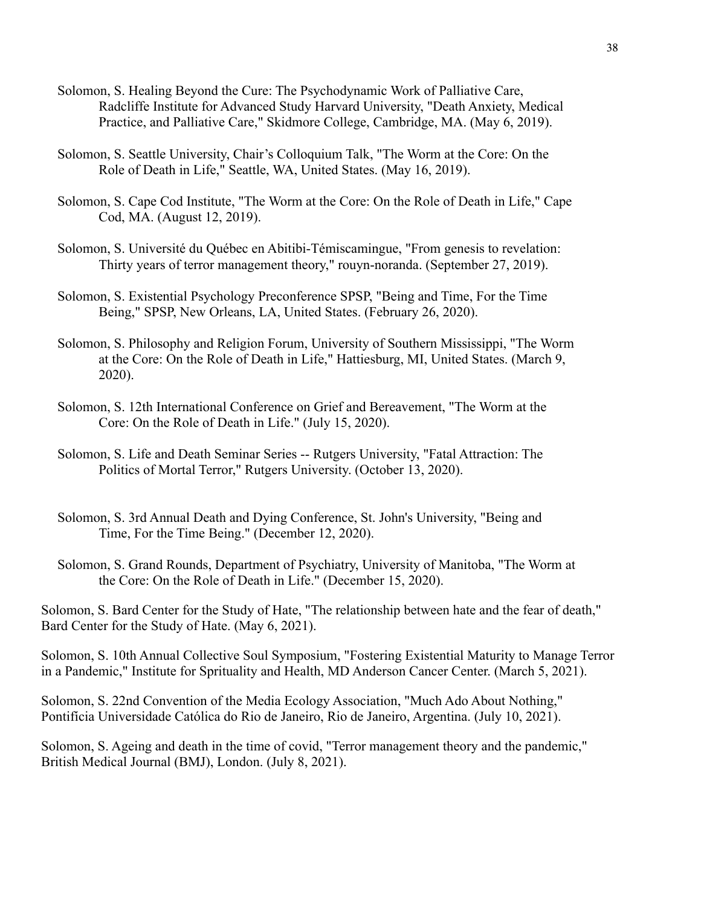- Solomon, S. Healing Beyond the Cure: The Psychodynamic Work of Palliative Care, Radcliffe Institute for Advanced Study Harvard University, "Death Anxiety, Medical Practice, and Palliative Care," Skidmore College, Cambridge, MA. (May 6, 2019).
- Solomon, S. Seattle University, Chair's Colloquium Talk, "The Worm at the Core: On the Role of Death in Life," Seattle, WA, United States. (May 16, 2019).
- Solomon, S. Cape Cod Institute, "The Worm at the Core: On the Role of Death in Life," Cape Cod, MA. (August 12, 2019).
- Solomon, S. Université du Québec en Abitibi-Témiscamingue, "From genesis to revelation: Thirty years of terror management theory," rouyn-noranda. (September 27, 2019).
- Solomon, S. Existential Psychology Preconference SPSP, "Being and Time, For the Time Being," SPSP, New Orleans, LA, United States. (February 26, 2020).
- Solomon, S. Philosophy and Religion Forum, University of Southern Mississippi, "The Worm at the Core: On the Role of Death in Life," Hattiesburg, MI, United States. (March 9, 2020).
- Solomon, S. 12th International Conference on Grief and Bereavement, "The Worm at the Core: On the Role of Death in Life." (July 15, 2020).
- Solomon, S. Life and Death Seminar Series -- Rutgers University, "Fatal Attraction: The Politics of Mortal Terror," Rutgers University. (October 13, 2020).
- Solomon, S. 3rd Annual Death and Dying Conference, St. John's University, "Being and Time, For the Time Being." (December 12, 2020).
- Solomon, S. Grand Rounds, Department of Psychiatry, University of Manitoba, "The Worm at the Core: On the Role of Death in Life." (December 15, 2020).

Solomon, S. Bard Center for the Study of Hate, "The relationship between hate and the fear of death," Bard Center for the Study of Hate. (May 6, 2021).

Solomon, S. 10th Annual Collective Soul Symposium, "Fostering Existential Maturity to Manage Terror in a Pandemic," Institute for Sprituality and Health, MD Anderson Cancer Center. (March 5, 2021).

Solomon, S. 22nd Convention of the Media Ecology Association, "Much Ado About Nothing," Pontifícia Universidade Católica do Rio de Janeiro, Rio de Janeiro, Argentina. (July 10, 2021).

Solomon, S. Ageing and death in the time of covid, "Terror management theory and the pandemic," British Medical Journal (BMJ), London. (July 8, 2021).